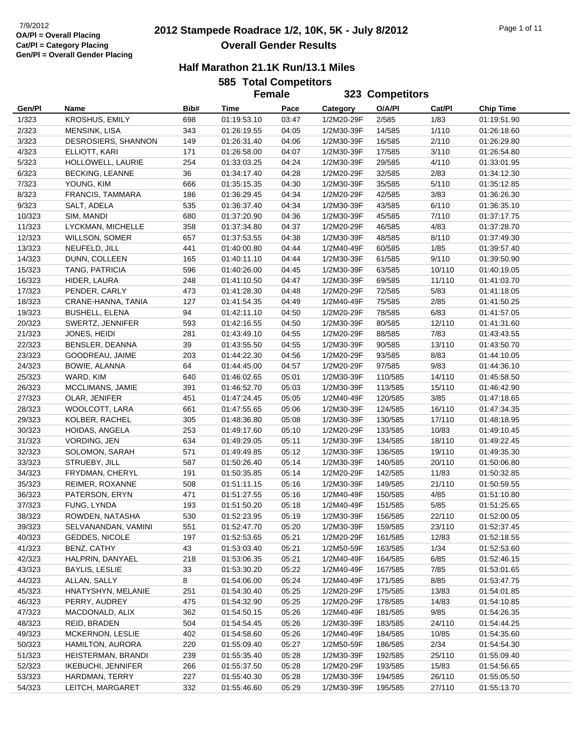# **2012 Stampede Roadrace 1/2, 10K, 5K - July 8/2012** 7/9/2012 Page 1 of 11 **Overall Gender Results**

| <b>585 Total Competitors</b> |  |
|------------------------------|--|
| Eamain                       |  |

|        |                         |      | JUJ TULAI UUIIIµGULUI J<br><b>Female</b> |       |            | 323 Competitors |        |                  |  |
|--------|-------------------------|------|------------------------------------------|-------|------------|-----------------|--------|------------------|--|
|        |                         |      |                                          |       |            |                 |        |                  |  |
| Gen/Pl | Name                    | Bib# | Time                                     | Pace  | Category   | O/A/PI          | Cat/Pl | <b>Chip Time</b> |  |
| 1/323  | <b>KROSHUS, EMILY</b>   | 698  | 01:19:53.10                              | 03:47 | 1/2M20-29F | 2/585           | 1/83   | 01:19:51.90      |  |
| 2/323  | MENSINK, LISA           | 343  | 01:26:19.55                              | 04:05 | 1/2M30-39F | 14/585          | 1/110  | 01:26:18.60      |  |
| 3/323  | DESROSIERS, SHANNON     | 149  | 01:26:31.40                              | 04:06 | 1/2M30-39F | 16/585          | 2/110  | 01:26:29.80      |  |
| 4/323  | ELLIOTT, KARI           | 171  | 01:26:58.00                              | 04:07 | 1/2M30-39F | 17/585          | 3/110  | 01:26:54.80      |  |
| 5/323  | HOLLOWELL, LAURIE       | 254  | 01:33:03.25                              | 04:24 | 1/2M30-39F | 29/585          | 4/110  | 01:33:01.95      |  |
| 6/323  | <b>BECKING, LEANNE</b>  | 36   | 01:34:17.40                              | 04:28 | 1/2M20-29F | 32/585          | 2/83   | 01:34:12.30      |  |
| 7/323  | YOUNG, KIM              | 666  | 01:35:15.35                              | 04:30 | 1/2M30-39F | 35/585          | 5/110  | 01:35:12.85      |  |
| 8/323  | FRANCIS, TAMMARA        | 186  | 01:36:29.45                              | 04:34 | 1/2M20-29F | 42/585          | 3/83   | 01:36:26.30      |  |
| 9/323  | SALT, ADELA             | 535  | 01:36:37.40                              | 04:34 | 1/2M30-39F | 43/585          | 6/110  | 01:36:35.10      |  |
| 10/323 | SIM, MANDI              | 680  | 01:37:20.90                              | 04:36 | 1/2M30-39F | 45/585          | 7/110  | 01:37:17.75      |  |
| 11/323 | LYCKMAN, MICHELLE       | 358  | 01:37:34.80                              | 04:37 | 1/2M20-29F | 46/585          | 4/83   | 01:37:28.70      |  |
| 12/323 | WILLSON, SOMER          | 657  | 01:37:53.55                              | 04:38 | 1/2M30-39F | 48/585          | 8/110  | 01:37:49.30      |  |
| 13/323 | NEUFELD, JILL           | 441  | 01:40:00.80                              | 04:44 | 1/2M40-49F | 60/585          | 1/85   | 01:39:57.40      |  |
| 14/323 | DUNN, COLLEEN           | 165  | 01:40:11.10                              | 04:44 | 1/2M30-39F | 61/585          | 9/110  | 01:39:50.90      |  |
| 15/323 | TANG, PATRICIA          | 596  | 01:40:26.00                              | 04:45 | 1/2M30-39F | 63/585          | 10/110 | 01:40:19.05      |  |
| 16/323 | HIDER, LAURA            | 248  | 01:41:10.50                              | 04:47 | 1/2M30-39F | 69/585          | 11/110 | 01:41:03.70      |  |
| 17/323 | PENDER, CARLY           | 473  | 01:41:28.30                              | 04:48 | 1/2M20-29F | 72/585          | 5/83   | 01:41:18.05      |  |
| 18/323 | CRANE-HANNA, TANIA      | 127  | 01:41:54.35                              | 04:49 | 1/2M40-49F | 75/585          | 2/85   | 01:41:50.25      |  |
| 19/323 | <b>BUSHELL, ELENA</b>   | 94   | 01:42:11.10                              | 04:50 | 1/2M20-29F | 78/585          | 6/83   | 01:41:57.05      |  |
| 20/323 | SWERTZ, JENNIFER        | 593  | 01:42:16.55                              | 04:50 | 1/2M30-39F | 80/585          | 12/110 | 01:41:31.60      |  |
| 21/323 | JONES, HEIDI            | 281  | 01:43:49.10                              | 04:55 | 1/2M20-29F | 88/585          | 7/83   | 01:43:43.55      |  |
| 22/323 | BENSLER, DEANNA         | 39   | 01:43:55.50                              | 04:55 | 1/2M30-39F | 90/585          | 13/110 | 01:43:50.70      |  |
| 23/323 | GOODREAU, JAIME         | 203  | 01:44:22.30                              | 04:56 | 1/2M20-29F | 93/585          | 8/83   | 01:44:10.05      |  |
| 24/323 | BOWIE, ALANNA           | 64   | 01:44:45.00                              | 04:57 | 1/2M20-29F | 97/585          | 9/83   | 01:44:36.10      |  |
| 25/323 | WARD, KIM               | 640  | 01:46:02.65                              | 05:01 | 1/2M30-39F | 110/585         | 14/110 | 01:45:58.50      |  |
| 26/323 | MCCLIMANS, JAMIE        | 391  | 01:46:52.70                              | 05:03 | 1/2M30-39F | 113/585         | 15/110 | 01:46:42.90      |  |
| 27/323 | OLAR, JENIFER           | 451  | 01:47:24.45                              | 05:05 | 1/2M40-49F | 120/585         | 3/85   | 01:47:18.65      |  |
| 28/323 | WOOLCOTT, LARA          | 661  | 01:47:55.65                              | 05:06 | 1/2M30-39F | 124/585         | 16/110 | 01:47:34.35      |  |
| 29/323 | KOLBER, RACHEL          | 305  | 01:48:36.80                              | 05:08 | 1/2M30-39F | 130/585         | 17/110 | 01:48:18.95      |  |
| 30/323 | HOIDAS, ANGELA          | 253  | 01:49:17.60                              | 05:10 | 1/2M20-29F | 133/585         | 10/83  | 01:49:10.45      |  |
| 31/323 | VORDING, JEN            | 634  | 01:49:29.05                              | 05:11 | 1/2M30-39F | 134/585         | 18/110 | 01:49:22.45      |  |
| 32/323 | SOLOMON, SARAH          | 571  | 01:49:49.85                              | 05:12 | 1/2M30-39F | 136/585         | 19/110 | 01:49:35.30      |  |
| 33/323 | STRUEBY, JILL           | 587  | 01:50:26.40                              | 05:14 | 1/2M30-39F | 140/585         | 20/110 | 01:50:06.80      |  |
| 34/323 | FRYDMAN, CHERYL         | 191  | 01:50:35.85                              | 05:14 | 1/2M20-29F | 142/585         | 11/83  | 01:50:32.85      |  |
| 35/323 | REIMER, ROXANNE         | 508  | 01:51:11.15                              | 05:16 | 1/2M30-39F | 149/585         | 21/110 | 01:50:59.55      |  |
| 36/323 | PATERSON, ERYN          | 471  | 01:51:27.55                              | 05:16 | 1/2M40-49F | 150/585         | 4/85   | 01:51:10.80      |  |
| 37/323 | FUNG, LYNDA             | 193  | 01:51:50.20                              | 05:18 | 1/2M40-49F | 151/585         | 5/85   | 01:51:25.65      |  |
| 38/323 | ROWDEN, NATASHA         | 530  | 01:52:23.95                              | 05:19 | 1/2M30-39F | 156/585         | 22/110 | 01:52:00.05      |  |
| 39/323 | SELVANANDAN, VAMINI     | 551  | 01:52:47.70                              | 05:20 | 1/2M30-39F | 159/585         | 23/110 | 01:52:37.45      |  |
| 40/323 | GEDDES, NICOLE          | 197  | 01:52:53.65                              | 05:21 | 1/2M20-29F | 161/585         | 12/83  | 01:52:18.55      |  |
| 41/323 | BENZ, CATHY             | 43   | 01:53:03.40                              | 05:21 | 1/2M50-59F | 163/585         | 1/34   | 01:52:53.60      |  |
| 42/323 | HALPRIN, DANYAEL        | 218  | 01:53:06.35                              | 05:21 | 1/2M40-49F | 164/585         | 6/85   | 01:52:46.15      |  |
| 43/323 | BAYLIS, LESLIE          | 33   | 01:53:30.20                              | 05:22 | 1/2M40-49F | 167/585         | 7/85   | 01:53:01.65      |  |
| 44/323 | ALLAN, SALLY            | 8    | 01:54:06.00                              | 05:24 | 1/2M40-49F | 171/585         | 8/85   | 01:53:47.75      |  |
| 45/323 | HNATYSHYN, MELANIE      | 251  | 01:54:30.40                              | 05:25 | 1/2M20-29F | 175/585         | 13/83  | 01:54:01.85      |  |
| 46/323 | PERRY, AUDREY           | 475  | 01:54:32.90                              | 05:25 | 1/2M20-29F | 178/585         | 14/83  | 01:54:10.85      |  |
| 47/323 | MACDONALD, ALIX         | 362  | 01:54:50.15                              | 05:26 | 1/2M40-49F | 181/585         | 9/85   | 01:54:26.35      |  |
| 48/323 | REID, BRADEN            | 504  | 01:54:54.45                              | 05:26 | 1/2M30-39F | 183/585         | 24/110 | 01:54:44.25      |  |
| 49/323 | <b>MCKERNON, LESLIE</b> | 402  | 01:54:58.60                              | 05:26 | 1/2M40-49F | 184/585         | 10/85  | 01:54:35.60      |  |
| 50/323 | HAMILTON, AURORA        | 220  | 01:55:09.40                              | 05:27 | 1/2M50-59F | 186/585         | 2/34   | 01:54:54.30      |  |
| 51/323 | HEISTERMAN, BRANDI      | 239  | 01:55:35.40                              | 05:28 | 1/2M30-39F | 192/585         | 25/110 | 01:55:09.40      |  |
| 52/323 | IKEBUCHI, JENNIFER      | 266  | 01:55:37.50                              | 05:28 | 1/2M20-29F | 193/585         | 15/83  | 01:54:56.65      |  |
| 53/323 | HARDMAN, TERRY          | 227  | 01:55:40.30                              | 05:28 | 1/2M30-39F | 194/585         | 26/110 | 01:55:05.50      |  |
| 54/323 | LEITCH, MARGARET        | 332  | 01:55:46.60                              | 05:29 | 1/2M30-39F | 195/585         | 27/110 | 01:55:13.70      |  |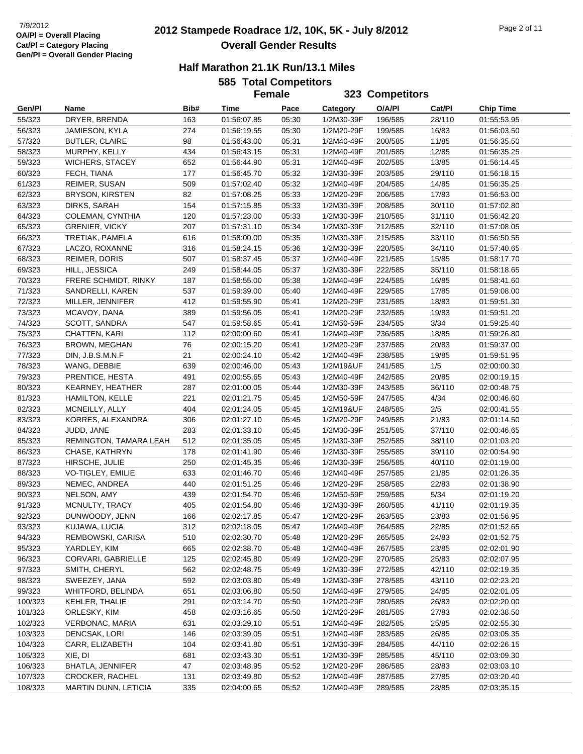# **2012 Stampede Roadrace 1/2, 10K, 5K - July 8/2012** 7/9/2012 Page 2 of 11 **Overall Gender Results**

#### **Half Marathon 21.1K Run/13.1 Miles**

# **585 Total Competitors**

|         |                        |      |                            | <b>Female</b> |            | 323 Competitors |        |                            |
|---------|------------------------|------|----------------------------|---------------|------------|-----------------|--------|----------------------------|
| Gen/Pl  | Name                   | Bib# | Time                       | Pace          | Category   | O/A/PI          | Cat/Pl | <b>Chip Time</b>           |
| 55/323  | DRYER, BRENDA          | 163  | 01:56:07.85                | 05:30         | 1/2M30-39F | 196/585         | 28/110 | 01:55:53.95                |
| 56/323  | JAMIESON, KYLA         | 274  | 01:56:19.55                | 05:30         | 1/2M20-29F | 199/585         | 16/83  | 01:56:03.50                |
| 57/323  | <b>BUTLER, CLAIRE</b>  | 98   | 01:56:43.00                | 05:31         | 1/2M40-49F | 200/585         | 11/85  | 01:56:35.50                |
| 58/323  | MURPHY, KELLY          | 434  | 01:56:43.15                | 05:31         | 1/2M40-49F | 201/585         | 12/85  | 01:56:35.25                |
| 59/323  | <b>WICHERS, STACEY</b> | 652  | 01:56:44.90                | 05:31         | 1/2M40-49F | 202/585         | 13/85  | 01:56:14.45                |
| 60/323  | FECH, TIANA            | 177  | 01:56:45.70                | 05:32         | 1/2M30-39F | 203/585         | 29/110 | 01:56:18.15                |
| 61/323  | REIMER, SUSAN          | 509  | 01:57:02.40                | 05:32         | 1/2M40-49F | 204/585         | 14/85  | 01:56:35.25                |
| 62/323  | <b>BRYSON, KIRSTEN</b> | 82   | 01:57:08.25                | 05:33         | 1/2M20-29F | 206/585         | 17/83  | 01:56:53.00                |
| 63/323  | DIRKS, SARAH           | 154  | 01:57:15.85                | 05:33         | 1/2M30-39F | 208/585         | 30/110 | 01:57:02.80                |
| 64/323  | COLEMAN, CYNTHIA       | 120  | 01:57:23.00                | 05:33         | 1/2M30-39F | 210/585         | 31/110 | 01:56:42.20                |
| 65/323  | <b>GRENIER, VICKY</b>  | 207  | 01:57:31.10                | 05:34         | 1/2M30-39F | 212/585         | 32/110 | 01:57:08.05                |
| 66/323  | TRETIAK, PAMELA        | 616  | 01:58:00.00                | 05:35         | 1/2M30-39F | 215/585         | 33/110 | 01:56:50.55                |
| 67/323  | LACZO, ROXANNE         | 316  | 01:58:24.15                | 05:36         | 1/2M30-39F | 220/585         | 34/110 | 01:57:40.65                |
| 68/323  | REIMER, DORIS          | 507  | 01:58:37.45                | 05:37         | 1/2M40-49F | 221/585         | 15/85  | 01:58:17.70                |
| 69/323  | HILL, JESSICA          | 249  |                            | 05:37         | 1/2M30-39F | 222/585         | 35/110 |                            |
|         |                        |      | 01:58:44.05<br>01:58:55.00 |               |            |                 |        | 01:58:18.65<br>01:58:41.60 |
| 70/323  | FRERE SCHMIDT, RINKY   | 187  |                            | 05:38         | 1/2M40-49F | 224/585         | 16/85  |                            |
| 71/323  | SANDRELLI, KAREN       | 537  | 01:59:39.00                | 05:40         | 1/2M40-49F | 229/585         | 17/85  | 01:59:08.00                |
| 72/323  | MILLER, JENNIFER       | 412  | 01:59:55.90                | 05:41         | 1/2M20-29F | 231/585         | 18/83  | 01:59:51.30                |
| 73/323  | MCAVOY, DANA           | 389  | 01:59:56.05                | 05:41         | 1/2M20-29F | 232/585         | 19/83  | 01:59:51.20                |
| 74/323  | SCOTT, SANDRA          | 547  | 01:59:58.65                | 05:41         | 1/2M50-59F | 234/585         | 3/34   | 01:59:25.40                |
| 75/323  | CHATTEN, KARI          | 112  | 02:00:00.60                | 05:41         | 1/2M40-49F | 236/585         | 18/85  | 01:59:26.80                |
| 76/323  | BROWN, MEGHAN          | 76   | 02:00:15.20                | 05:41         | 1/2M20-29F | 237/585         | 20/83  | 01:59:37.00                |
| 77/323  | DIN, J.B.S.M.N.F       | 21   | 02:00:24.10                | 05:42         | 1/2M40-49F | 238/585         | 19/85  | 01:59:51.95                |
| 78/323  | WANG, DEBBIE           | 639  | 02:00:46.00                | 05:43         | 1/2M19&UF  | 241/585         | 1/5    | 02:00:00.30                |
| 79/323  | PRENTICE, HESTA        | 491  | 02:00:55.65                | 05:43         | 1/2M40-49F | 242/585         | 20/85  | 02:00:19.15                |
| 80/323  | KEARNEY, HEATHER       | 287  | 02:01:00.05                | 05:44         | 1/2M30-39F | 243/585         | 36/110 | 02:00:48.75                |
| 81/323  | HAMILTON, KELLE        | 221  | 02:01:21.75                | 05:45         | 1/2M50-59F | 247/585         | 4/34   | 02:00:46.60                |
| 82/323  | MCNEILLY, ALLY         | 404  | 02:01:24.05                | 05:45         | 1/2M19&UF  | 248/585         | 2/5    | 02:00:41.55                |
| 83/323  | KORRES, ALEXANDRA      | 306  | 02:01:27.10                | 05:45         | 1/2M20-29F | 249/585         | 21/83  | 02:01:14.50                |
| 84/323  | JUDD, JANE             | 283  | 02:01:33.10                | 05:45         | 1/2M30-39F | 251/585         | 37/110 | 02:00:46.65                |
| 85/323  | REMINGTON, TAMARA LEAH | 512  | 02:01:35.05                | 05:45         | 1/2M30-39F | 252/585         | 38/110 | 02:01:03.20                |
| 86/323  | CHASE, KATHRYN         | 178  | 02:01:41.90                | 05:46         | 1/2M30-39F | 255/585         | 39/110 | 02:00:54.90                |
| 87/323  | HIRSCHE, JULIE         | 250  | 02:01:45.35                | 05:46         | 1/2M30-39F | 256/585         | 40/110 | 02:01:19.00                |
| 88/323  | VO-TIGLEY, EMILIE      | 633  | 02:01:46.70                | 05:46         | 1/2M40-49F | 257/585         | 21/85  | 02:01:26.35                |
| 89/323  | NEMEC, ANDREA          | 440  | 02:01:51.25                | 05:46         | 1/2M20-29F | 258/585         | 22/83  | 02:01:38.90                |
| 90/323  | NELSON, AMY            | 439  | 02:01:54.70                | 05:46         | 1/2M50-59F | 259/585         | 5/34   | 02:01:19.20                |
| 91/323  | MCNULTY, TRACY         | 405  | 02:01:54.80                | 05:46         | 1/2M30-39F | 260/585         | 41/110 | 02:01:19.35                |
| 92/323  | DUNWOODY, JENN         | 166  | 02:02:17.85                | 05:47         | 1/2M20-29F | 263/585         | 23/83  | 02:01:56.95                |
| 93/323  | KUJAWA, LUCIA          | 312  | 02:02:18.05                | 05:47         | 1/2M40-49F | 264/585         | 22/85  | 02:01:52.65                |
| 94/323  | REMBOWSKI, CARISA      | 510  | 02:02:30.70                | 05:48         | 1/2M20-29F | 265/585         | 24/83  | 02:01:52.75                |
| 95/323  | YARDLEY, KIM           | 665  | 02:02:38.70                | 05:48         | 1/2M40-49F | 267/585         | 23/85  | 02:02:01.90                |
| 96/323  | CORVARI, GABRIELLE     | 125  | 02:02:45.80                | 05:49         | 1/2M20-29F | 270/585         | 25/83  | 02:02:07.95                |
| 97/323  | SMITH, CHERYL          | 562  | 02:02:48.75                | 05:49         | 1/2M30-39F | 272/585         | 42/110 | 02:02:19.35                |
| 98/323  | SWEEZEY, JANA          | 592  | 02:03:03.80                | 05:49         | 1/2M30-39F | 278/585         | 43/110 | 02:02:23.20                |
| 99/323  | WHITFORD, BELINDA      | 651  | 02:03:06.80                | 05:50         | 1/2M40-49F | 279/585         | 24/85  | 02:02:01.05                |
| 100/323 | KEHLER, THALIE         | 291  | 02:03:14.70                | 05:50         | 1/2M20-29F | 280/585         | 26/83  | 02:02:20.00                |
| 101/323 | ORLESKY, KIM           | 458  | 02:03:16.65                | 05:50         | 1/2M20-29F | 281/585         | 27/83  | 02:02:38.50                |
| 102/323 | VERBONAC, MARIA        | 631  | 02:03:29.10                | 05:51         | 1/2M40-49F | 282/585         | 25/85  | 02:02:55.30                |
| 103/323 | <b>DENCSAK, LORI</b>   | 146  | 02:03:39.05                | 05:51         | 1/2M40-49F | 283/585         | 26/85  | 02:03:05.35                |
| 104/323 | CARR, ELIZABETH        | 104  | 02:03:41.80                | 05:51         | 1/2M30-39F | 284/585         | 44/110 | 02:02:26.15                |
| 105/323 | XIE, DI                | 681  | 02:03:43.30                | 05:51         | 1/2M30-39F | 285/585         | 45/110 | 02:03:09.30                |
| 106/323 | BHATLA, JENNIFER       | 47   | 02:03:48.95                | 05:52         | 1/2M20-29F | 286/585         | 28/83  | 02:03:03.10                |
| 107/323 | <b>CROCKER, RACHEL</b> | 131  | 02:03:49.80                | 05:52         | 1/2M40-49F | 287/585         | 27/85  | 02:03:20.40                |
| 108/323 | MARTIN DUNN, LETICIA   | 335  | 02:04:00.65                | 05:52         | 1/2M40-49F | 289/585         | 28/85  | 02:03:35.15                |
|         |                        |      |                            |               |            |                 |        |                            |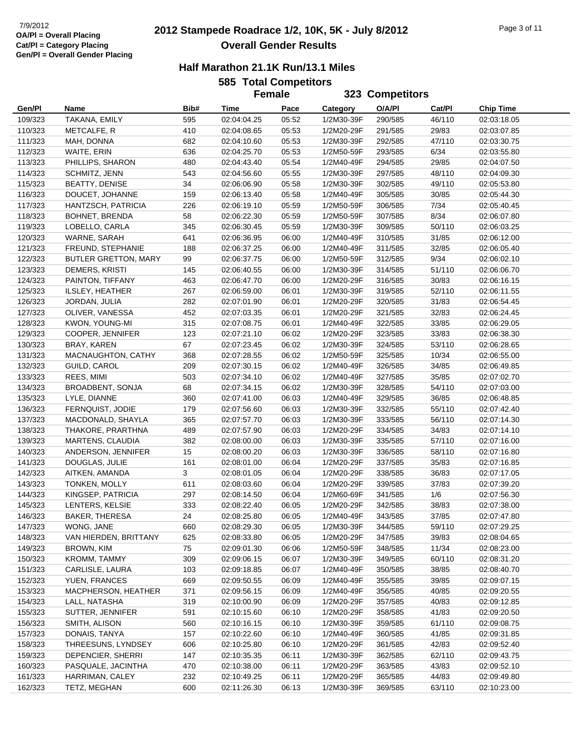# **2012 Stampede Roadrace 1/2, 10K, 5K - July 8/2012** 7/9/2012 Page 3 of 11 **Overall Gender Results**

#### **Half Marathon 21.1K Run/13.1 Miles**

**585 Total Competitors**

|                    |                                     |           | <b>Female</b>              |                |                          | 323 Competitors    |                |                            |
|--------------------|-------------------------------------|-----------|----------------------------|----------------|--------------------------|--------------------|----------------|----------------------------|
| Gen/Pl             | Name                                | Bib#      | Time                       | Pace           | Category                 | O/A/PI             | Cat/PI         | <b>Chip Time</b>           |
| 109/323            | TAKANA, EMILY                       | 595       | 02:04:04.25                | 05:52          | 1/2M30-39F               | 290/585            | 46/110         | 02:03:18.05                |
| 110/323            | METCALFE, R                         | 410       | 02:04:08.65                | 05:53          | 1/2M20-29F               | 291/585            | 29/83          | 02:03:07.85                |
| 111/323            | MAH, DONNA                          | 682       | 02:04:10.60                | 05:53          | 1/2M30-39F               | 292/585            | 47/110         | 02:03:30.75                |
| 112/323            | WAITE, ERIN                         | 636       | 02:04:25.70                | 05:53          | 1/2M50-59F               | 293/585            | 6/34           | 02:03:55.80                |
| 113/323            | PHILLIPS, SHARON                    | 480       | 02:04:43.40                | 05:54          | 1/2M40-49F               | 294/585            | 29/85          | 02:04:07.50                |
| 114/323            | SCHMITZ, JENN                       | 543       | 02:04:56.60                | 05:55          | 1/2M30-39F               | 297/585            | 48/110         | 02:04:09.30                |
| 115/323            | <b>BEATTY, DENISE</b>               | 34        | 02:06:06.90                | 05:58          | 1/2M30-39F               | 302/585            | 49/110         | 02:05:53.80                |
| 116/323            | DOUCET, JOHANNE                     | 159       | 02:06:13.40                | 05:58          | 1/2M40-49F               | 305/585            | 30/85          | 02:05:44.30                |
| 117/323            | HANTZSCH, PATRICIA                  | 226       | 02:06:19.10                | 05:59          | 1/2M50-59F               | 306/585            | 7/34           | 02:05:40.45                |
| 118/323            | <b>BOHNET, BRENDA</b>               | 58        | 02:06:22.30                | 05:59          | 1/2M50-59F               | 307/585            | 8/34           | 02:06:07.80                |
| 119/323            | LOBELLO, CARLA                      | 345       | 02:06:30.45                | 05:59          | 1/2M30-39F               | 309/585            | 50/110         | 02:06:03.25                |
| 120/323            | WARNE, SARAH                        | 641       | 02:06:36.95                | 06:00          | 1/2M40-49F               | 310/585            | 31/85          | 02:06:12.00                |
| 121/323            | FREUND, STEPHANIE                   | 188       | 02:06:37.25                | 06:00          | 1/2M40-49F               | 311/585            | 32/85          | 02:06:05.40                |
| 122/323            | <b>BUTLER GRETTON, MARY</b>         | 99        | 02:06:37.75                | 06:00          | 1/2M50-59F               | 312/585            | 9/34           | 02:06:02.10                |
| 123/323            | DEMERS, KRISTI                      | 145       | 02:06:40.55                | 06:00          | 1/2M30-39F               | 314/585            | 51/110         | 02:06:06.70                |
| 124/323            | PAINTON, TIFFANY                    | 463       | 02:06:47.70                | 06:00          | 1/2M20-29F               | 316/585            | 30/83          | 02:06:16.15                |
| 125/323            | ILSLEY, HEATHER                     | 267       | 02:06:59.00                | 06:01          | 1/2M30-39F               | 319/585            | 52/110         | 02:06:11.55                |
| 126/323            | JORDAN, JULIA                       | 282       | 02:07:01.90                | 06:01          | 1/2M20-29F               | 320/585            | 31/83          | 02:06:54.45                |
| 127/323            | OLIVER, VANESSA                     | 452       | 02:07:03.35                | 06:01          | 1/2M20-29F               | 321/585            | 32/83          | 02:06:24.45                |
| 128/323            | KWON, YOUNG-MI                      | 315       | 02:07:08.75                | 06:01          | 1/2M40-49F               | 322/585            | 33/85          | 02:06:29.05                |
| 129/323            | COOPER, JENNIFER                    | 123       | 02:07:21.10                | 06:02          | 1/2M20-29F               | 323/585            | 33/83          | 02:06:38.30                |
| 130/323            | BRAY, KAREN                         | 67        | 02:07:23.45                | 06:02          | 1/2M30-39F               | 324/585            | 53/110         | 02:06:28.65                |
| 131/323            | MACNAUGHTON, CATHY                  | 368       | 02:07:28.55                | 06:02          | 1/2M50-59F               | 325/585            | 10/34          | 02:06:55.00                |
| 132/323            | GUILD, CAROL                        | 209       | 02:07:30.15                | 06:02          | 1/2M40-49F               | 326/585            | 34/85          | 02:06:49.85                |
| 133/323            | REES, MIMI                          | 503       | 02:07:34.10                | 06:02          | 1/2M40-49F               | 327/585            | 35/85          | 02:07:02.70                |
| 134/323            | BROADBENT, SONJA                    | 68        | 02:07:34.15                | 06:02          | 1/2M30-39F               | 328/585            | 54/110         | 02:07:03.00                |
| 135/323            | LYLE, DIANNE                        | 360       | 02:07:41.00                | 06:03          | 1/2M40-49F               | 329/585            | 36/85          | 02:06:48.85                |
| 136/323            | FERNQUIST, JODIE                    | 179       | 02:07:56.60                | 06:03          | 1/2M30-39F               | 332/585            | 55/110         | 02:07:42.40                |
| 137/323            | MACDONALD, SHAYLA                   | 365       | 02:07:57.70                | 06:03          | 1/2M30-39F               | 333/585            | 56/110         | 02:07:14.30                |
| 138/323            | THAKORE, PRARTHNA                   | 489       | 02:07:57.90                | 06:03          | 1/2M20-29F               | 334/585            | 34/83          | 02:07:14.10                |
| 139/323            | MARTENS, CLAUDIA                    | 382       | 02:08:00.00                | 06:03          | 1/2M30-39F               | 335/585            | 57/110         | 02:07:16.00                |
| 140/323            | ANDERSON, JENNIFER                  | 15        | 02:08:00.20                | 06:03          | 1/2M30-39F               | 336/585            | 58/110         | 02:07:16.80                |
| 141/323            | DOUGLAS, JULIE                      | 161       | 02:08:01.00                | 06:04          | 1/2M20-29F               | 337/585            | 35/83          | 02:07:16.85                |
| 142/323            | AITKEN, AMANDA                      | 3         | 02:08:01.05                | 06:04          | 1/2M20-29F               | 338/585            | 36/83          | 02:07:17.05                |
| 143/323            | <b>TONKEN, MOLLY</b>                | 611       | 02:08:03.60                | 06:04          | 1/2M20-29F               | 339/585            | 37/83          | 02:07:39.20                |
| 144/323            | KINGSEP, PATRICIA                   | 297       | 02:08:14.50                | 06:04          | 1/2M60-69F               | 341/585            | 1/6            | 02:07:56.30                |
| 145/323            | LENTERS, KELSIE                     | 333       | 02:08:22.40                | 06:05          | 1/2M20-29F               | 342/585            | 38/83          | 02:07:38.00                |
| 146/323            | BAKER, THERESA                      | 24        | 02:08:25.80                | 06:05          | 1/2M40-49F               | 343/585            | 37/85          | 02:07:47.80                |
| 147/323            | WONG, JANE<br>VAN HIERDEN, BRITTANY | 660       | 02:08:29.30                | 06:05          | 1/2M30-39F<br>1/2M20-29F | 344/585            | 59/110         | 02:07:29.25<br>02:08:04.65 |
| 148/323<br>149/323 | <b>BROWN, KIM</b>                   | 625<br>75 | 02:08:33.80<br>02:09:01.30 | 06:05<br>06:06 | 1/2M50-59F               | 347/585<br>348/585 | 39/83<br>11/34 | 02:08:23.00                |
| 150/323            | KROMM, TAMMY                        | 309       | 02:09:06.15                | 06:07          | 1/2M30-39F               | 349/585            | 60/110         | 02:08:31.20                |
| 151/323            | CARLISLE, LAURA                     | 103       | 02:09:18.85                | 06:07          | 1/2M40-49F               | 350/585            | 38/85          | 02:08:40.70                |
| 152/323            | YUEN, FRANCES                       | 669       | 02:09:50.55                | 06:09          | 1/2M40-49F               | 355/585            | 39/85          | 02:09:07.15                |
| 153/323            | MACPHERSON, HEATHER                 | 371       | 02:09:56.15                | 06:09          | 1/2M40-49F               | 356/585            | 40/85          | 02:09:20.55                |
| 154/323            | LALL, NATASHA                       | 319       | 02:10:00.90                | 06:09          | 1/2M20-29F               | 357/585            | 40/83          | 02:09:12.85                |
| 155/323            | SUTTER, JENNIFER                    | 591       | 02:10:15.60                | 06:10          | 1/2M20-29F               | 358/585            | 41/83          | 02:09:20.50                |
| 156/323            | SMITH, ALISON                       | 560       | 02:10:16.15                | 06:10          | 1/2M30-39F               | 359/585            | 61/110         | 02:09:08.75                |
| 157/323            | DONAIS, TANYA                       | 157       | 02:10:22.60                | 06:10          | 1/2M40-49F               | 360/585            | 41/85          | 02:09:31.85                |
| 158/323            | THREESUNS, LYNDSEY                  | 606       | 02:10:25.80                | 06:10          | 1/2M20-29F               | 361/585            | 42/83          | 02:09:52.40                |
| 159/323            | DEPENCIER, SHERRI                   | 147       | 02:10:35.35                | 06:11          | 1/2M30-39F               | 362/585            | 62/110         | 02:09:43.75                |
| 160/323            | PASQUALE, JACINTHA                  | 470       | 02:10:38.00                | 06:11          | 1/2M20-29F               | 363/585            | 43/83          | 02:09:52.10                |
| 161/323            | HARRIMAN, CALEY                     | 232       | 02:10:49.25                | 06:11          | 1/2M20-29F               | 365/585            | 44/83          | 02:09:49.80                |
| 162/323            | TETZ, MEGHAN                        | 600       | 02:11:26.30                | 06:13          | 1/2M30-39F               | 369/585            | 63/110         | 02:10:23.00                |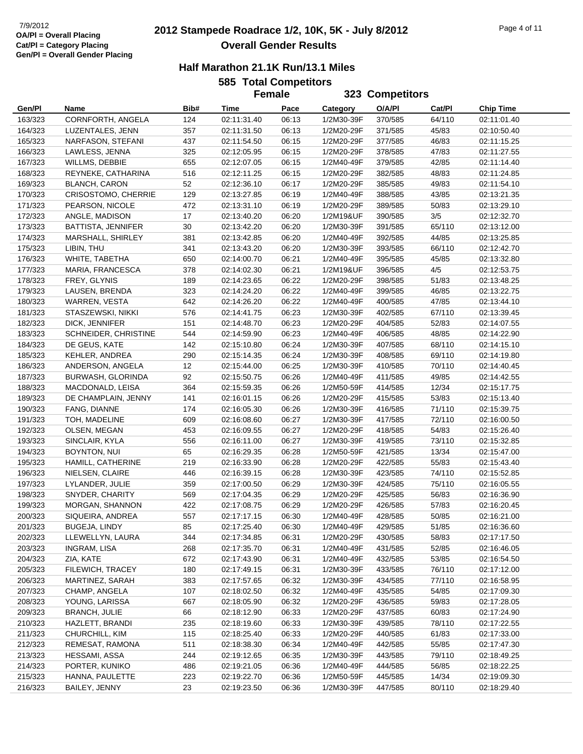# **2012 Stampede Roadrace 1/2, 10K, 5K - July 8/2012** 7/9/2012 Page 4 of 11 **Overall Gender Results**

|  | <b>585 Total Competitors</b> |
|--|------------------------------|
|  |                              |

|                    |                                          |            | JUJ TULAI UUIIIµGULUI J    | <b>Female</b>  |                          | 323 Competitors    |                |                            |  |
|--------------------|------------------------------------------|------------|----------------------------|----------------|--------------------------|--------------------|----------------|----------------------------|--|
|                    |                                          |            |                            |                |                          |                    |                |                            |  |
| Gen/Pl             | Name                                     | Bib#       | Time                       | Pace           | Category                 | O/A/PI             | Cat/PI         | <b>Chip Time</b>           |  |
| 163/323            | CORNFORTH, ANGELA                        | 124        | 02:11:31.40                | 06:13          | 1/2M30-39F               | 370/585            | 64/110         | 02:11:01.40                |  |
| 164/323            | LUZENTALES, JENN                         | 357        | 02:11:31.50                | 06:13          | 1/2M20-29F               | 371/585            | 45/83          | 02:10:50.40                |  |
| 165/323            | NARFASON, STEFANI                        | 437        | 02:11:54.50                | 06:15          | 1/2M20-29F               | 377/585            | 46/83          | 02:11:15.25                |  |
| 166/323            | LAWLESS, JENNA                           | 325        | 02:12:05.95                | 06:15          | 1/2M20-29F               | 378/585            | 47/83          | 02:11:27.55                |  |
| 167/323            | WILLMS, DEBBIE                           | 655        | 02:12:07.05                | 06:15          | 1/2M40-49F               | 379/585            | 42/85          | 02:11:14.40                |  |
| 168/323            | REYNEKE, CATHARINA                       | 516        | 02:12:11.25                | 06:15          | 1/2M20-29F               | 382/585            | 48/83          | 02:11:24.85                |  |
| 169/323            | <b>BLANCH, CARON</b>                     | 52         | 02:12:36.10                | 06:17          | 1/2M20-29F               | 385/585            | 49/83          | 02:11:54.10                |  |
| 170/323            | <b>CRISOSTOMO, CHERRIE</b>               | 129        | 02:13:27.85                | 06:19          | 1/2M40-49F               | 388/585            | 43/85          | 02:13:21.35                |  |
| 171/323            | PEARSON, NICOLE                          | 472        | 02:13:31.10                | 06:19          | 1/2M20-29F               | 389/585            | 50/83          | 02:13:29.10                |  |
| 172/323            | ANGLE, MADISON                           | 17         | 02:13:40.20                | 06:20          | 1/2M19&UF                | 390/585            | 3/5            | 02:12:32.70                |  |
| 173/323            | <b>BATTISTA, JENNIFER</b>                | 30         | 02:13:42.20                | 06:20          | 1/2M30-39F               | 391/585            | 65/110         | 02:13:12.00                |  |
| 174/323            | MARSHALL, SHIRLEY                        | 381        | 02:13:42.85                | 06:20          | 1/2M40-49F               | 392/585            | 44/85          | 02:13:25.85                |  |
| 175/323            | LIBIN, THU                               | 341        | 02:13:43.20                | 06:20          | 1/2M30-39F               | 393/585            | 66/110         | 02:12:42.70                |  |
| 176/323            | WHITE, TABETHA                           | 650        | 02:14:00.70                | 06:21          | 1/2M40-49F               | 395/585            | 45/85          | 02:13:32.80                |  |
| 177/323            | MARIA, FRANCESCA                         | 378        | 02:14:02.30                | 06:21          | 1/2M19&UF                | 396/585            | 4/5            | 02:12:53.75                |  |
| 178/323            | FREY, GLYNIS                             | 189        | 02:14:23.65                | 06:22          | 1/2M20-29F               | 398/585            | 51/83          | 02:13:48.25                |  |
| 179/323            | LAUSEN, BRENDA                           | 323        | 02:14:24.20                | 06:22          | 1/2M40-49F               | 399/585            | 46/85          | 02:13:22.75                |  |
| 180/323            | WARREN, VESTA                            | 642        | 02:14:26.20                | 06:22          | 1/2M40-49F               | 400/585            | 47/85          | 02:13:44.10                |  |
| 181/323            | STASZEWSKI, NIKKI                        | 576        | 02:14:41.75                | 06:23          | 1/2M30-39F               | 402/585            | 67/110         | 02:13:39.45                |  |
| 182/323            | DICK, JENNIFER                           | 151        | 02:14:48.70                | 06:23          | 1/2M20-29F               | 404/585            | 52/83          | 02:14:07.55                |  |
| 183/323            | SCHNEIDER, CHRISTINE                     | 544        | 02:14:59.90                | 06:23          | 1/2M40-49F               | 406/585            | 48/85          | 02:14:22.90                |  |
| 184/323            | DE GEUS, KATE                            | 142        | 02:15:10.80                | 06:24          | 1/2M30-39F               | 407/585            | 68/110         | 02:14:15.10                |  |
| 185/323            | KEHLER, ANDREA                           | 290        | 02:15:14.35                | 06:24          | 1/2M30-39F               | 408/585            | 69/110         | 02:14:19.80                |  |
| 186/323            | ANDERSON, ANGELA                         | 12         | 02:15:44.00                | 06:25          | 1/2M30-39F               | 410/585            | 70/110         | 02:14:40.45                |  |
| 187/323            | BURWASH, GLORINDA                        | 92         | 02:15:50.75                | 06:26          | 1/2M40-49F               | 411/585            | 49/85          | 02:14:42.55                |  |
| 188/323            | MACDONALD, LEISA                         | 364        | 02:15:59.35                | 06:26          | 1/2M50-59F               | 414/585            | 12/34          | 02:15:17.75                |  |
| 189/323            | DE CHAMPLAIN, JENNY                      | 141        | 02:16:01.15                | 06:26          | 1/2M20-29F               | 415/585            | 53/83          | 02:15:13.40                |  |
| 190/323            | FANG, DIANNE                             | 174        | 02:16:05.30                | 06:26          | 1/2M30-39F               | 416/585            | 71/110         | 02:15:39.75                |  |
| 191/323            | TOH, MADELINE                            | 609        | 02:16:08.60                | 06:27          | 1/2M30-39F               | 417/585            | 72/110         | 02:16:00.50                |  |
| 192/323            | OLSEN, MEGAN                             | 453        | 02:16:09.55                | 06:27          | 1/2M20-29F               | 418/585            | 54/83          | 02:15:26.40                |  |
| 193/323            | SINCLAIR, KYLA                           | 556        | 02:16:11.00                | 06:27          | 1/2M30-39F               | 419/585            | 73/110         | 02:15:32.85                |  |
| 194/323            | BOYNTON, NUI                             | 65         | 02:16:29.35                | 06:28          | 1/2M50-59F               | 421/585            | 13/34          | 02:15:47.00                |  |
| 195/323            | HAMILL, CATHERINE                        | 219        | 02:16:33.90                | 06:28          | 1/2M20-29F               | 422/585            | 55/83          | 02:15:43.40                |  |
| 196/323            | NIELSEN, CLAIRE                          | 446        | 02:16:39.15                | 06:28          | 1/2M30-39F               | 423/585            | 74/110         | 02:15:52.85                |  |
| 197/323            | LYLANDER, JULIE                          | 359        | 02:17:00.50                | 06:29          | 1/2M30-39F               | 424/585            | 75/110         | 02:16:05.55                |  |
| 198/323            | SNYDER, CHARITY<br>MORGAN, SHANNON       | 569<br>422 | 02:17:04.35                | 06:29          | 1/2M20-29F               | 425/585            | 56/83          | 02:16:36.90                |  |
| 199/323            |                                          | 557        | 02:17:08.75                | 06:29<br>06:30 | 1/2M20-29F<br>1/2M40-49F | 426/585            | 57/83          | 02:16:20.45                |  |
| 200/323            | SIQUEIRA, ANDREA<br><b>BUGEJA, LINDY</b> | 85         | 02:17:17.15                | 06:30          | 1/2M40-49F               | 428/585            | 50/85          | 02:16:21.00                |  |
| 201/323<br>202/323 | LLEWELLYN, LAURA                         | 344        | 02:17:25.40<br>02:17:34.85 | 06:31          | 1/2M20-29F               | 429/585<br>430/585 | 51/85<br>58/83 | 02:16:36.60<br>02:17:17.50 |  |
| 203/323            | INGRAM, LISA                             | 268        | 02:17:35.70                | 06:31          | 1/2M40-49F               | 431/585            | 52/85          | 02:16:46.05                |  |
| 204/323            | ZIA, KATE                                | 672        | 02:17:43.90                | 06:31          | 1/2M40-49F               | 432/585            | 53/85          | 02:16:54.50                |  |
| 205/323            | FILEWICH, TRACEY                         | 180        | 02:17:49.15                | 06:31          | 1/2M30-39F               | 433/585            | 76/110         | 02:17:12.00                |  |
|                    |                                          |            | 02:17:57.65                |                | 1/2M30-39F               |                    |                |                            |  |
| 206/323            | MARTINEZ, SARAH                          | 383        |                            | 06:32          |                          | 434/585            | 77/110         | 02:16:58.95                |  |
| 207/323            | CHAMP, ANGELA<br>YOUNG, LARISSA          | 107<br>667 | 02:18:02.50                | 06:32<br>06:32 | 1/2M40-49F<br>1/2M20-29F | 435/585            | 54/85          | 02:17:09.30                |  |
| 208/323<br>209/323 | <b>BRANCH, JULIE</b>                     | 66         | 02:18:05.90<br>02:18:12.90 | 06:33          | 1/2M20-29F               | 436/585<br>437/585 | 59/83<br>60/83 | 02:17:28.05<br>02:17:24.90 |  |
|                    | HAZLETT, BRANDI                          |            | 02:18:19.60                | 06:33          | 1/2M30-39F               |                    | 78/110         |                            |  |
| 210/323            | CHURCHILL, KIM                           | 235        |                            | 06:33          | 1/2M20-29F               | 439/585<br>440/585 | 61/83          | 02:17:22.55<br>02:17:33.00 |  |
| 211/323<br>212/323 | REMESAT, RAMONA                          | 115<br>511 | 02:18:25.40<br>02:18:38.30 | 06:34          | 1/2M40-49F               | 442/585            | 55/85          | 02:17:47.30                |  |
| 213/323            | HESSAMI, ASSA                            | 244        | 02:19:12.65                | 06:35          | 1/2M30-39F               | 443/585            | 79/110         | 02:18:49.25                |  |
| 214/323            | PORTER, KUNIKO                           | 486        | 02:19:21.05                | 06:36          | 1/2M40-49F               | 444/585            | 56/85          | 02:18:22.25                |  |
| 215/323            | HANNA, PAULETTE                          | 223        | 02:19:22.70                | 06:36          | 1/2M50-59F               | 445/585            | 14/34          | 02:19:09.30                |  |
| 216/323            | BAILEY, JENNY                            | 23         | 02:19:23.50                | 06:36          | 1/2M30-39F               | 447/585            | 80/110         | 02:18:29.40                |  |
|                    |                                          |            |                            |                |                          |                    |                |                            |  |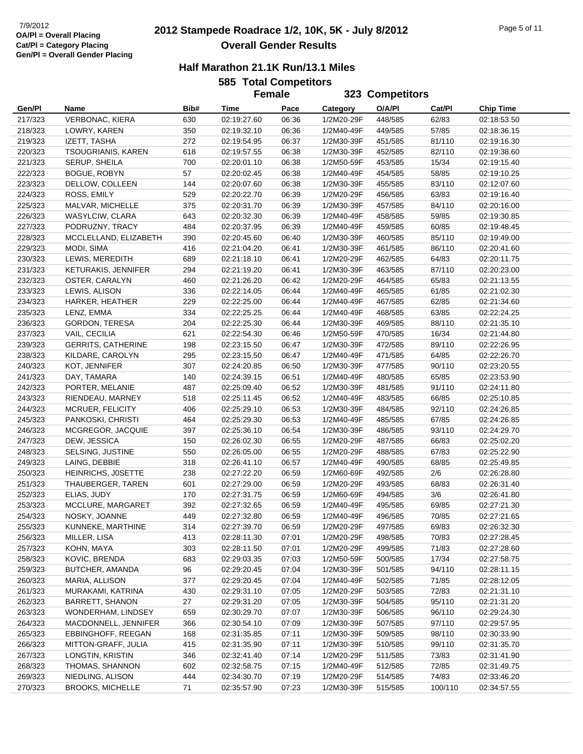# **2012 Stampede Roadrace 1/2, 10K, 5K - July 8/2012** 7/9/2012 Page 5 of 11 **Overall Gender Results**

|  | <b>585 Total Competitors</b> |
|--|------------------------------|
|  |                              |

|         |                           |      | JUJ TULAI UUIIIpelilUI S | <b>Female</b> |            | 323 Competitors |         |                  |
|---------|---------------------------|------|--------------------------|---------------|------------|-----------------|---------|------------------|
|         |                           |      |                          |               |            |                 |         |                  |
| Gen/Pl  | Name                      | Bib# | Time                     | Pace          | Category   | O/A/PI          | Cat/Pl  | <b>Chip Time</b> |
| 217/323 | <b>VERBONAC, KIERA</b>    | 630  | 02:19:27.60              | 06:36         | 1/2M20-29F | 448/585         | 62/83   | 02:18:53.50      |
| 218/323 | LOWRY, KAREN              | 350  | 02:19:32.10              | 06:36         | 1/2M40-49F | 449/585         | 57/85   | 02:18:36.15      |
| 219/323 | IZETT, TASHA              | 272  | 02:19:54.95              | 06:37         | 1/2M30-39F | 451/585         | 81/110  | 02:19:16.30      |
| 220/323 | <b>TSOUGRIANIS, KAREN</b> | 618  | 02:19:57.55              | 06:38         | 1/2M30-39F | 452/585         | 82/110  | 02:19:38.60      |
| 221/323 | SERUP, SHEILA             | 700  | 02:20:01.10              | 06:38         | 1/2M50-59F | 453/585         | 15/34   | 02:19:15.40      |
| 222/323 | <b>BOGUE, ROBYN</b>       | 57   | 02:20:02.45              | 06:38         | 1/2M40-49F | 454/585         | 58/85   | 02:19:10.25      |
| 223/323 | DELLOW, COLLEEN           | 144  | 02:20:07.60              | 06:38         | 1/2M30-39F | 455/585         | 83/110  | 02:12:07.60      |
| 224/323 | ROSS, EMILY               | 529  | 02:20:22.70              | 06:39         | 1/2M20-29F | 456/585         | 63/83   | 02:19:16.40      |
| 225/323 | MALVAR, MICHELLE          | 375  | 02:20:31.70              | 06:39         | 1/2M30-39F | 457/585         | 84/110  | 02:20:16.00      |
| 226/323 | WASYLCIW, CLARA           | 643  | 02:20:32.30              | 06:39         | 1/2M40-49F | 458/585         | 59/85   | 02:19:30.85      |
| 227/323 | PODRUZNY, TRACY           | 484  | 02:20:37.95              | 06:39         | 1/2M40-49F | 459/585         | 60/85   | 02:19:48.45      |
| 228/323 | MCCLELLAND, ELIZABETH     | 390  | 02:20:45.60              | 06:40         | 1/2M30-39F | 460/585         | 85/110  | 02:19:49.00      |
| 229/323 | MODI, SIMA                | 416  | 02:21:04.20              | 06:41         | 1/2M30-39F | 461/585         | 86/110  | 02:20:41.60      |
| 230/323 | LEWIS, MEREDITH           | 689  | 02:21:18.10              | 06:41         | 1/2M20-29F | 462/585         | 64/83   | 02:20:11.75      |
| 231/323 | KETURAKIS, JENNIFER       | 294  | 02:21:19.20              | 06:41         | 1/2M30-39F | 463/585         | 87/110  | 02:20:23.00      |
| 232/323 | OSTER, CARALYN            | 460  | 02:21:26.20              | 06:42         | 1/2M20-29F | 464/585         | 65/83   | 02:21:13.55      |
| 233/323 | LEWIS, ALISON             | 336  | 02:22:14.05              | 06:44         | 1/2M40-49F | 465/585         | 61/85   | 02:21:02.30      |
| 234/323 | HARKER, HEATHER           | 229  | 02:22:25.00              | 06:44         | 1/2M40-49F | 467/585         | 62/85   | 02:21:34.60      |
| 235/323 | LENZ, EMMA                | 334  | 02:22:25.25              | 06:44         | 1/2M40-49F | 468/585         | 63/85   | 02:22:24.25      |
| 236/323 | <b>GORDON, TERESA</b>     | 204  | 02:22:25.30              | 06:44         | 1/2M30-39F | 469/585         | 88/110  | 02:21:35.10      |
| 237/323 | VAIL, CECILIA             | 621  | 02:22:54.30              | 06:46         | 1/2M50-59F | 470/585         | 16/34   | 02:21:44.80      |
| 239/323 | <b>GERRITS, CATHERINE</b> | 198  | 02:23:15.50              | 06:47         | 1/2M30-39F | 472/585         | 89/110  | 02:22:26.95      |
| 238/323 | KILDARE, CAROLYN          | 295  | 02:23:15.50              | 06:47         | 1/2M40-49F | 471/585         | 64/85   | 02:22:26.70      |
| 240/323 | KOT, JENNIFER             | 307  | 02:24:20.85              | 06:50         | 1/2M30-39F | 477/585         | 90/110  | 02:23:20.55      |
| 241/323 | DAY, TAMARA               | 140  | 02:24:39.15              | 06:51         | 1/2M40-49F | 480/585         | 65/85   | 02:23:53.90      |
| 242/323 | PORTER, MELANIE           | 487  | 02:25:09.40              | 06:52         | 1/2M30-39F | 481/585         | 91/110  | 02:24:11.80      |
| 243/323 | RIENDEAU, MARNEY          | 518  | 02:25:11.45              | 06:52         | 1/2M40-49F | 483/585         | 66/85   | 02:25:10.85      |
| 244/323 | MCRUER, FELICITY          | 406  | 02:25:29.10              | 06:53         | 1/2M30-39F | 484/585         | 92/110  | 02:24:26.85      |
| 245/323 | PANKOSKI, CHRISTI         | 464  | 02:25:29.30              | 06:53         | 1/2M40-49F | 485/585         | 67/85   | 02:24:26.85      |
| 246/323 | MCGREGOR, JACQUIE         | 397  | 02:25:36.10              | 06:54         | 1/2M30-39F | 486/585         | 93/110  | 02:24:29.70      |
| 247/323 | DEW, JESSICA              | 150  | 02:26:02.30              | 06:55         | 1/2M20-29F | 487/585         | 66/83   | 02:25:02.20      |
| 248/323 | SELSING, JUSTINE          | 550  | 02:26:05.00              | 06:55         | 1/2M20-29F | 488/585         | 67/83   | 02:25:22.90      |
| 249/323 | LAING, DEBBIE             | 318  | 02:26:41.10              | 06:57         | 1/2M40-49F | 490/585         | 68/85   | 02:25:49.85      |
| 250/323 | HEINRICHS, JOSETTE        | 238  | 02:27:22.20              | 06:59         | 1/2M60-69F | 492/585         | 2/6     | 02:26:28.80      |
| 251/323 | THAUBERGER, TAREN         | 601  | 02:27:29.00              | 06:59         | 1/2M20-29F | 493/585         | 68/83   | 02:26:31.40      |
| 252/323 | ELIAS, JUDY               | 170  | 02:27:31.75              | 06:59         | 1/2M60-69F | 494/585         | 3/6     | 02:26:41.80      |
| 253/323 | MCCLURE, MARGARET         | 392  | 02:27:32.65              | 06:59         | 1/2M40-49F | 495/585         | 69/85   | 02:27:21.30      |
| 254/323 | NOSKY, JOANNE             | 449  | 02:27:32.80              | 06:59         | 1/2M40-49F | 496/585         | 70/85   | 02:27:21.65      |
| 255/323 | KUNNEKE, MARTHINE         | 314  | 02:27:39.70              | 06:59         | 1/2M20-29F | 497/585         | 69/83   | 02:26:32.30      |
| 256/323 | MILLER, LISA              | 413  | 02:28:11.30              | 07:01         | 1/2M20-29F | 498/585         | 70/83   | 02:27:28.45      |
| 257/323 | KOHN, MAYA                | 303  | 02:28:11.50              | 07:01         | 1/2M20-29F | 499/585         | 71/83   | 02:27:28.60      |
| 258/323 | KOVIC, BRENDA             | 683  | 02:29:03.35              | 07:03         | 1/2M50-59F | 500/585         | 17/34   | 02:27:58.75      |
| 259/323 | BUTCHER, AMANDA           | 96   | 02:29:20.45              | 07:04         | 1/2M30-39F | 501/585         | 94/110  | 02:28:11.15      |
| 260/323 | MARIA, ALLISON            | 377  | 02:29:20.45              | 07:04         | 1/2M40-49F | 502/585         | 71/85   | 02:28:12.05      |
| 261/323 | MURAKAMI, KATRINA         | 430  | 02:29:31.10              | 07:05         | 1/2M20-29F | 503/585         | 72/83   | 02:21:31.10      |
| 262/323 | <b>BARRETT, SHANON</b>    | 27   | 02:29:31.20              | 07:05         | 1/2M30-39F | 504/585         | 95/110  | 02:21:31.20      |
| 263/323 | WONDERHAM, LINDSEY        | 659  | 02:30:29.70              | 07:07         | 1/2M30-39F | 506/585         | 96/110  | 02:29:24.30      |
| 264/323 | MACDONNELL, JENNIFER      | 366  | 02:30:54.10              | 07:09         | 1/2M30-39F | 507/585         | 97/110  | 02:29:57.95      |
| 265/323 | EBBINGHOFF, REEGAN        | 168  | 02:31:35.85              | 07:11         | 1/2M30-39F | 509/585         | 98/110  | 02:30:33.90      |
| 266/323 | MITTON-GRAFF, JULIA       | 415  | 02:31:35.90              | 07:11         | 1/2M30-39F | 510/585         | 99/110  | 02:31:35.70      |
| 267/323 | LONGTIN, KRISTIN          | 346  | 02:32:41.40              | 07:14         | 1/2M20-29F | 511/585         | 73/83   | 02:31:41.90      |
| 268/323 | THOMAS, SHANNON           | 602  | 02:32:58.75              | 07:15         | 1/2M40-49F | 512/585         | 72/85   | 02:31:49.75      |
| 269/323 | NIEDLING, ALISON          | 444  | 02:34:30.70              | 07:19         | 1/2M20-29F | 514/585         | 74/83   | 02:33:46.20      |
| 270/323 | BROOKS, MICHELLE          | 71   | 02:35:57.90              | 07:23         | 1/2M30-39F | 515/585         | 100/110 | 02:34:57.55      |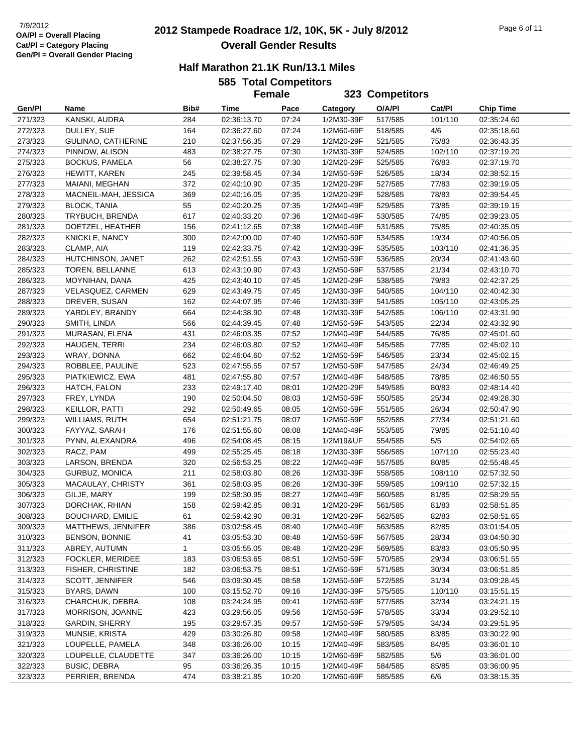# **2012 Stampede Roadrace 1/2, 10K, 5K - July 8/2012** 7/9/2012 Page 6 of 11 **Overall Gender Results**

|  | <b>585 Total Competitors</b> |
|--|------------------------------|
|  |                              |

|                    |                                             |              | <b>Female</b>              |                |                          | 323 Competitors    |                  |                            |
|--------------------|---------------------------------------------|--------------|----------------------------|----------------|--------------------------|--------------------|------------------|----------------------------|
| Gen/Pl             | Name                                        | Bib#         | Time                       | Pace           | Category                 | O/A/PI             | Cat/PI           | <b>Chip Time</b>           |
| 271/323            | KANSKI, AUDRA                               | 284          | 02:36:13.70                | 07:24          | 1/2M30-39F               | 517/585            | 101/110          | 02:35:24.60                |
| 272/323            | DULLEY, SUE                                 | 164          | 02:36:27.60                | 07:24          | 1/2M60-69F               | 518/585            | 4/6              | 02:35:18.60                |
| 273/323            | GULINAO, CATHERINE                          | 210          | 02:37:56.35                | 07:29          | 1/2M20-29F               | 521/585            | 75/83            | 02:36:43.35                |
| 274/323            | PINNOW, ALISON                              | 483          | 02:38:27.75                | 07:30          | 1/2M30-39F               | 524/585            | 102/110          | 02:37:19.20                |
| 275/323            | <b>BOCKUS, PAMELA</b>                       | 56           | 02:38:27.75                | 07:30          | 1/2M20-29F               | 525/585            | 76/83            | 02:37:19.70                |
| 276/323            | HEWITT, KAREN                               | 245          | 02:39:58.45                | 07:34          | 1/2M50-59F               | 526/585            | 18/34            | 02:38:52.15                |
| 277/323            | MAIANI, MEGHAN                              | 372          | 02:40:10.90                | 07:35          | 1/2M20-29F               | 527/585            | 77/83            | 02:39:19.05                |
| 278/323            | MACNEIL-MAH, JESSICA                        | 369          | 02:40:16.05                | 07:35          | 1/2M20-29F               | 528/585            | 78/83            | 02:39:54.45                |
| 279/323            | <b>BLOCK, TANIA</b>                         | 55           | 02:40:20.25                | 07:35          | 1/2M40-49F               | 529/585            | 73/85            | 02:39:19.15                |
| 280/323            | TRYBUCH, BRENDA                             | 617          | 02:40:33.20                | 07:36          | 1/2M40-49F               | 530/585            | 74/85            | 02:39:23.05                |
| 281/323            | DOETZEL, HEATHER                            | 156          | 02:41:12.65                | 07:38          | 1/2M40-49F               | 531/585            | 75/85            | 02:40:35.05                |
| 282/323            | KNICKLE, NANCY                              | 300          | 02:42:00.00                | 07:40          | 1/2M50-59F               | 534/585            | 19/34            | 02:40:56.05                |
| 283/323            | CLAMP, AIA                                  | 119          | 02:42:33.75                | 07:42          | 1/2M30-39F               | 535/585            | 103/110          | 02:41:36.35                |
| 284/323            | HUTCHINSON, JANET                           | 262          | 02:42:51.55                | 07:43          | 1/2M50-59F               | 536/585            | 20/34            | 02:41:43.60                |
| 285/323            | TOREN, BELLANNE                             | 613          | 02:43:10.90                | 07:43          | 1/2M50-59F               | 537/585            | 21/34            | 02:43:10.70                |
| 286/323            | MOYNIHAN, DANA                              | 425          | 02:43:40.10                | 07:45          | 1/2M20-29F               | 538/585            | 79/83            | 02:42:37.25                |
| 287/323            | VELASQUEZ, CARMEN                           | 629          | 02:43:49.75                | 07:45          | 1/2M30-39F               | 540/585            | 104/110          | 02:40:42.30                |
| 288/323            | DREVER, SUSAN                               | 162          | 02:44:07.95                | 07:46          | 1/2M30-39F               | 541/585            | 105/110          | 02:43:05.25                |
| 289/323            | YARDLEY, BRANDY                             | 664          | 02:44:38.90                | 07:48          | 1/2M30-39F               | 542/585            | 106/110          | 02:43:31.90                |
| 290/323            | SMITH, LINDA                                | 566          | 02:44:39.45                | 07:48          | 1/2M50-59F               | 543/585            | 22/34            | 02:43:32.90                |
| 291/323            | MURASAN, ELENA                              | 431          | 02:46:03.35                | 07:52          | 1/2M40-49F               | 544/585            | 76/85            | 02:45:01.60                |
| 292/323            | HAUGEN, TERRI                               | 234          | 02:46:03.80                | 07:52          | 1/2M40-49F               | 545/585            | 77/85            | 02:45:02.10                |
| 293/323            | WRAY, DONNA                                 | 662          | 02:46:04.60                | 07:52          | 1/2M50-59F               | 546/585            | 23/34            | 02:45:02.15                |
| 294/323            | ROBBLEE, PAULINE                            | 523          | 02:47:55.55                | 07:57          | 1/2M50-59F               | 547/585            | 24/34            | 02:46:49.25                |
| 295/323            | PIATKIEWICZ, EWA                            | 481          | 02:47:55.80                | 07:57          | 1/2M40-49F               | 548/585            | 78/85            | 02:46:50.55                |
| 296/323            | HATCH, FALON                                | 233          | 02:49:17.40                | 08:01          | 1/2M20-29F               | 549/585            | 80/83            | 02:48:14.40                |
| 297/323            | FREY, LYNDA                                 | 190          | 02:50:04.50                | 08:03          | 1/2M50-59F               | 550/585            | 25/34            | 02:49:28.30                |
| 298/323            | KEILLOR, PATTI                              | 292          | 02:50:49.65                | 08:05          | 1/2M50-59F               | 551/585            | 26/34            | 02:50:47.90                |
| 299/323            | WILLIAMS, RUTH                              | 654          | 02:51:21.75                | 08:07          | 1/2M50-59F               | 552/585            | 27/34            | 02:51:21.60                |
| 300/323            | FAYYAZ, SARAH                               | 176          | 02:51:55.60                | 08:08          | 1/2M40-49F               | 553/585            | 79/85            | 02:51:10.40                |
| 301/323            | PYNN, ALEXANDRA                             | 496          | 02:54:08.45                | 08:15          | 1/2M19&UF                | 554/585            | $5/5$            | 02:54:02.65                |
| 302/323            | RACZ, PAM                                   | 499          | 02:55:25.45                | 08:18          | 1/2M30-39F               | 556/585            | 107/110          | 02:55:23.40                |
| 303/323            | LARSON, BRENDA                              | 320          | 02:56:53.25                | 08:22          | 1/2M40-49F               | 557/585            | 80/85            | 02:55:48.45                |
| 304/323            | GURBUZ, MONICA                              | 211          | 02:58:03.80                | 08:26          | 1/2M30-39F               | 558/585            | 108/110          | 02:57:32.50                |
| 305/323            | MACAULAY, CHRISTY                           | 361          | 02:58:03.95                | 08:26          | 1/2M30-39F               | 559/585            | 109/110          | 02:57:32.15                |
| 306/323            | GILJE, MARY                                 | 199          | 02:58:30.95                | 08:27          | 1/2M40-49F               | 560/585            | 81/85            | 02:58:29.55                |
| 307/323            | DORCHAK, RHIAN                              | 158          | 02:59:42.85                | 08:31          | 1/2M20-29F               | 561/585            | 81/83            | 02:58:51.85                |
| 308/323            | <b>BOUCHARD, EMILIE</b>                     | 61           | 02:59:42.90                | 08:31          | 1/2M20-29F               | 562/585            | 82/83            | 02:58:51.65                |
| 309/323            | MATTHEWS, JENNIFER                          | 386          | 03:02:58.45                | 08:40          | 1/2M40-49F               | 563/585            | 82/85            | 03:01:54.05                |
| 310/323            | <b>BENSON, BONNIE</b>                       | 41           | 03:05:53.30                | 08:48          | 1/2M50-59F               | 567/585            | 28/34            | 03:04:50.30                |
| 311/323            | ABREY, AUTUMN                               | $\mathbf{1}$ | 03:05:55.05                | 08:48          | 1/2M20-29F               | 569/585            | 83/83            | 03:05:50.95                |
| 312/323            | FOCKLER, MERIDEE                            | 183          | 03:06:53.65                | 08:51          | 1/2M50-59F               | 570/585            | 29/34            | 03:06:51.55                |
| 313/323            | FISHER, CHRISTINE<br><b>SCOTT, JENNIFER</b> | 182          | 03:06:53.75                | 08:51          | 1/2M50-59F               | 571/585            | 30/34            | 03:06:51.85                |
| 314/323            |                                             | 546          | 03:09:30.45                | 08:58          | 1/2M50-59F               | 572/585            | 31/34            | 03:09:28.45                |
| 315/323            | BYARS, DAWN<br>CHARCHUK, DEBRA              | 100<br>108   | 03:15:52.70                | 09:16          | 1/2M30-39F<br>1/2M50-59F | 575/585            | 110/110<br>32/34 | 03:15:51.15<br>03:24:21.15 |
| 316/323<br>317/323 | MORRISON, JOANNE                            |              | 03:24:24.95<br>03:29:56.05 | 09:41          |                          | 577/585            |                  |                            |
| 318/323            | <b>GARDIN, SHERRY</b>                       | 423<br>195   | 03:29:57.35                | 09:56<br>09:57 | 1/2M50-59F<br>1/2M50-59F | 578/585<br>579/585 | 33/34<br>34/34   | 03:29:52.10<br>03:29:51.95 |
| 319/323            | MUNSIE, KRISTA                              | 429          | 03:30:26.80                | 09:58          | 1/2M40-49F               | 580/585            | 83/85            | 03:30:22.90                |
| 321/323            | LOUPELLE, PAMELA                            | 348          | 03:36:26.00                | 10:15          | 1/2M40-49F               | 583/585            | 84/85            | 03:36:01.10                |
| 320/323            | LOUPELLE, CLAUDETTE                         | 347          | 03:36:26.00                | 10:15          | 1/2M60-69F               | 582/585            | 5/6              | 03:36:01.00                |
| 322/323            | <b>BUSIC, DEBRA</b>                         | 95           | 03:36:26.35                | 10:15          | 1/2M40-49F               | 584/585            | 85/85            | 03:36:00.95                |
| 323/323            | PERRIER, BRENDA                             | 474          | 03:38:21.85                | 10:20          | 1/2M60-69F               | 585/585            | 6/6              | 03:38:15.35                |
|                    |                                             |              |                            |                |                          |                    |                  |                            |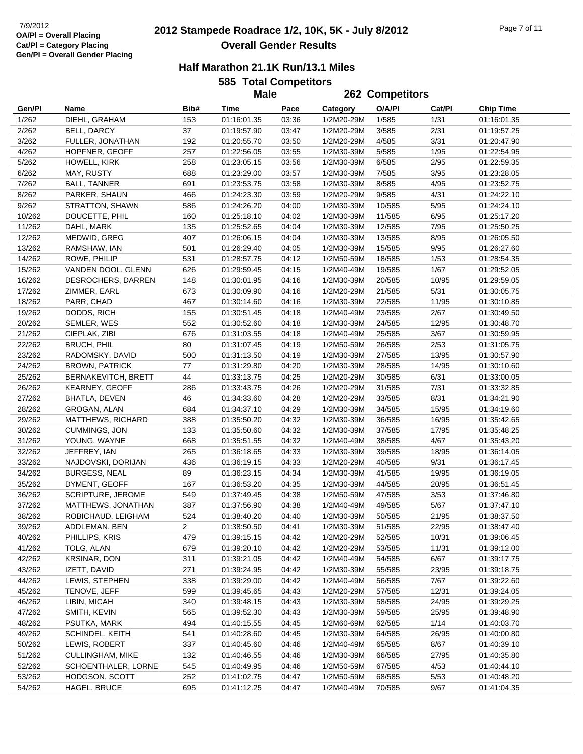# **2012 Stampede Roadrace 1/2, 10K, 5K - July 8/2012** 7/9/2012 Page 7 of 11 **Overall Gender Results**

#### **Half Marathon 21.1K Run/13.1 Miles**

**585 Total Competitors Male**

|                  |                                 |            | <b>Male</b>                |                |                          | 262 Competitors  |               |                            |  |
|------------------|---------------------------------|------------|----------------------------|----------------|--------------------------|------------------|---------------|----------------------------|--|
| Gen/Pl           | Name                            | Bib#       | Time                       | Pace           | Category                 | O/A/PI           | Cat/Pl        | Chip Time                  |  |
| 1/262            | DIEHL, GRAHAM                   | 153        | 01:16:01.35                | 03:36          | 1/2M20-29M               | 1/585            | 1/31          | 01:16:01.35                |  |
| 2/262            | BELL, DARCY                     | 37         | 01:19:57.90                | 03:47          | 1/2M20-29M               | 3/585            | 2/31          | 01:19:57.25                |  |
| 3/262            | FULLER, JONATHAN                | 192        | 01:20:55.70                | 03:50          | 1/2M20-29M               | 4/585            | 3/31          | 01:20:47.90                |  |
| 4/262            | HOPFNER, GEOFF                  | 257        | 01:22:56.05                | 03:55          | 1/2M30-39M               | 5/585            | 1/95          | 01:22:54.95                |  |
| 5/262            | HOWELL, KIRK                    | 258        | 01:23:05.15                | 03:56          | 1/2M30-39M               | 6/585            | 2/95          | 01:22:59.35                |  |
| 6/262            | MAY, RUSTY                      | 688        | 01:23:29.00                | 03:57          | 1/2M30-39M               | 7/585            | 3/95          | 01:23:28.05                |  |
| 7/262            | <b>BALL, TANNER</b>             | 691        | 01:23:53.75                | 03:58          | 1/2M30-39M               | 8/585            | 4/95          | 01:23:52.75                |  |
| 8/262            | PARKER, SHAUN                   | 466        | 01:24:23.30                | 03:59          | 1/2M20-29M               | 9/585            | 4/31          | 01:24:22.10                |  |
| 9/262            | STRATTON, SHAWN                 | 586        | 01:24:26.20                | 04:00          | 1/2M30-39M               | 10/585           | 5/95          | 01:24:24.10                |  |
| 10/262           | DOUCETTE, PHIL                  | 160        | 01:25:18.10                | 04:02          | 1/2M30-39M               | 11/585           | 6/95          | 01:25:17.20                |  |
| 11/262           | DAHL, MARK                      | 135        | 01:25:52.65                | 04:04          | 1/2M30-39M               | 12/585           | 7/95          | 01:25:50.25                |  |
| 12/262           | MEDWID, GREG                    | 407        | 01:26:06.15                | 04:04          | 1/2M30-39M               | 13/585           | 8/95          | 01:26:05.50                |  |
| 13/262           | RAMSHAW, IAN                    | 501        | 01:26:29.40                | 04:05          | 1/2M30-39M               | 15/585           | 9/95          | 01:26:27.60                |  |
| 14/262           | ROWE, PHILIP                    | 531        | 01:28:57.75                | 04:12          | 1/2M50-59M               | 18/585           | 1/53          | 01:28:54.35                |  |
| 15/262           | VANDEN DOOL, GLENN              | 626        | 01:29:59.45                | 04:15          | 1/2M40-49M               | 19/585           | 1/67          | 01:29:52.05                |  |
| 16/262           | DESROCHERS, DARREN              | 148        | 01:30:01.95                | 04:16          | 1/2M30-39M               | 20/585           | 10/95         | 01:29:59.05                |  |
| 17/262           | ZIMMER, EARL                    | 673        | 01:30:09.90                | 04:16          | 1/2M20-29M               | 21/585           | 5/31          | 01:30:05.75                |  |
| 18/262           | PARR, CHAD                      | 467        | 01:30:14.60                | 04:16          | 1/2M30-39M               | 22/585           | 11/95         | 01:30:10.85                |  |
| 19/262           | DODDS, RICH                     | 155        | 01:30:51.45                | 04:18          | 1/2M40-49M               | 23/585           | 2/67          | 01:30:49.50                |  |
| 20/262           | SEMLER, WES                     | 552        | 01:30:52.60                | 04:18          | 1/2M30-39M               | 24/585           | 12/95         | 01:30:48.70                |  |
| 21/262           | CIEPLAK, ZIBI                   | 676        | 01:31:03.55                | 04:18          | 1/2M40-49M               | 25/585           | 3/67          | 01:30:59.95                |  |
| 22/262           | <b>BRUCH, PHIL</b>              | 80         | 01:31:07.45                | 04:19          | 1/2M50-59M               | 26/585           | 2/53          | 01:31:05.75                |  |
| 23/262           | RADOMSKY, DAVID                 | 500        | 01:31:13.50                | 04:19          | 1/2M30-39M               | 27/585           | 13/95         | 01:30:57.90                |  |
| 24/262           | <b>BROWN, PATRICK</b>           | 77         | 01:31:29.80                | 04:20          | 1/2M30-39M               | 28/585           | 14/95         | 01:30:10.60                |  |
| 25/262           | <b>BERNAKEVITCH, BRETT</b>      | 44         | 01:33:13.75                | 04:25          | 1/2M20-29M               | 30/585           | 6/31          | 01:33:00.05                |  |
| 26/262           | KEARNEY, GEOFF                  | 286        | 01:33:43.75                | 04:26          | 1/2M20-29M               | 31/585           | 7/31          | 01:33:32.85                |  |
| 27/262           | <b>BHATLA, DEVEN</b>            | 46         | 01:34:33.60                | 04:28          | 1/2M20-29M               | 33/585           | 8/31          | 01:34:21.90                |  |
| 28/262           | GROGAN, ALAN                    | 684        | 01:34:37.10                | 04:29          | 1/2M30-39M               | 34/585           | 15/95         | 01:34:19.60                |  |
| 29/262           | <b>MATTHEWS, RICHARD</b>        | 388        | 01:35:50.20                | 04:32          | 1/2M30-39M               | 36/585           | 16/95         | 01:35:42.65                |  |
| 30/262           | <b>CUMMINGS, JON</b>            | 133        | 01:35:50.60                | 04:32          | 1/2M30-39M               | 37/585           | 17/95         | 01:35:48.25                |  |
| 31/262           | YOUNG, WAYNE                    | 668        | 01:35:51.55                | 04:32          | 1/2M40-49M               | 38/585           | 4/67          | 01:35:43.20                |  |
| 32/262           | JEFFREY, IAN                    | 265        | 01:36:18.65                | 04:33          | 1/2M30-39M               | 39/585           | 18/95         | 01:36:14.05                |  |
| 33/262           | NAJDOVSKI, DORIJAN              | 436        | 01:36:19.15                | 04:33          | 1/2M20-29M               | 40/585           | 9/31          | 01:36:17.45                |  |
| 34/262           | <b>BURGESS, NEAL</b>            | 89         | 01:36:23.15                | 04:34          | 1/2M30-39M               | 41/585           | 19/95         | 01:36:19.05                |  |
| 35/262           | DYMENT, GEOFF                   | 167        | 01:36:53.20                | 04:35          | 1/2M30-39M               | 44/585           | 20/95         | 01:36:51.45                |  |
| 36/262           | SCRIPTURE, JEROME               | 549        | 01:37:49.45                | 04:38          | 1/2M50-59M               | 47/585           | 3/53          | 01:37:46.80                |  |
| 37/262           | MATTHEWS, JONATHAN              | 387        | 01:37:56.90                | 04:38          | 1/2M40-49M               | 49/585           | 5/67          | 01:37:47.10                |  |
| 38/262           | ROBICHAUD, LEIGHAM              | 524        | 01:38:40.20                | 04:40          | 1/2M30-39M               | 50/585           | 21/95         | 01:38:37.50                |  |
| 39/262           | ADDLEMAN, BEN                   | 2          | 01:38:50.50                | 04:41          | 1/2M30-39M               | 51/585           | 22/95         | 01:38:47.40                |  |
| 40/262           | PHILLIPS, KRIS                  | 479        | 01:39:15.15                | 04:42          | 1/2M20-29M               | 52/585           | 10/31         | 01:39:06.45                |  |
| 41/262           | TOLG, ALAN                      | 679        | 01:39:20.10                | 04:42          | 1/2M20-29M               | 53/585           | 11/31         | 01:39:12.00                |  |
| 42/262           | KRSINAR, DON                    | 311        | 01:39:21.05                | 04:42          | 1/2M40-49M               | 54/585           | 6/67          | 01:39:17.75                |  |
| 43/262           | IZETT, DAVID                    | 271        | 01:39:24.95                | 04:42          | 1/2M30-39M               | 55/585           | 23/95         | 01:39:18.75                |  |
| 44/262           | LEWIS, STEPHEN                  | 338        | 01:39:29.00                | 04:42          | 1/2M40-49M               | 56/585           | 7/67          | 01:39:22.60                |  |
| 45/262           | TENOVE, JEFF                    | 599        | 01:39:45.65                | 04:43          | 1/2M20-29M               | 57/585           | 12/31         | 01:39:24.05                |  |
| 46/262           | LIBIN, MICAH<br>SMITH, KEVIN    | 340<br>565 | 01:39:48.15<br>01:39:52.30 | 04:43<br>04:43 | 1/2M30-39M               | 58/585           | 24/95         | 01:39:29.25                |  |
| 47/262           |                                 | 494        |                            |                | 1/2M30-39M<br>1/2M60-69M | 59/585           | 25/95         | 01:39:48.90                |  |
| 48/262<br>49/262 | PSUTKA, MARK<br>SCHINDEL, KEITH | 541        | 01:40:15.55                | 04:45          |                          | 62/585<br>64/585 | 1/14          | 01:40:03.70                |  |
|                  | LEWIS, ROBERT                   | 337        | 01:40:28.60                | 04:45<br>04:46 | 1/2M30-39M<br>1/2M40-49M |                  | 26/95<br>8/67 | 01:40:00.80<br>01:40:39.10 |  |
| 50/262<br>51/262 | <b>CULLINGHAM, MIKE</b>         | 132        | 01:40:45.60<br>01:40:46.55 | 04:46          | 1/2M30-39M               | 65/585<br>66/585 | 27/95         | 01:40:35.80                |  |
| 52/262           | SCHOENTHALER, LORNE             | 545        | 01:40:49.95                | 04:46          | 1/2M50-59M               | 67/585           | 4/53          | 01:40:44.10                |  |
| 53/262           | HODGSON, SCOTT                  | 252        | 01:41:02.75                | 04:47          | 1/2M50-59M               | 68/585           | 5/53          | 01:40:48.20                |  |
| 54/262           | HAGEL, BRUCE                    | 695        | 01:41:12.25                | 04:47          | 1/2M40-49M               | 70/585           | 9/67          | 01:41:04.35                |  |
|                  |                                 |            |                            |                |                          |                  |               |                            |  |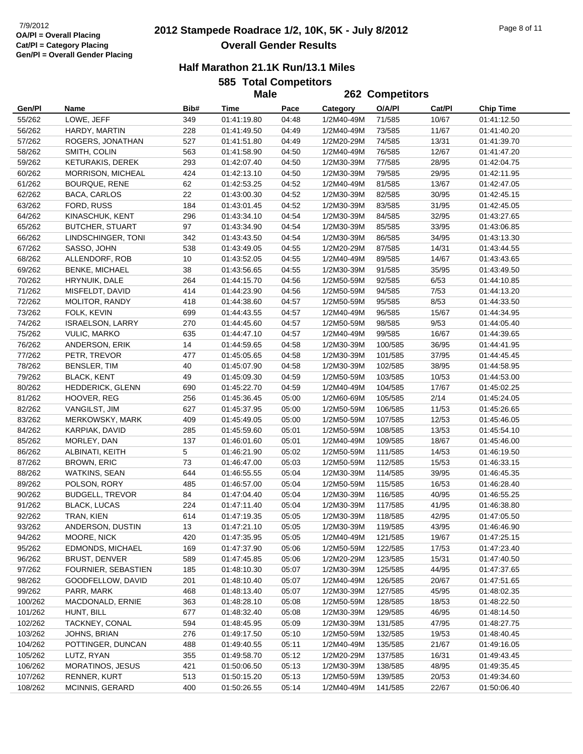# **2012 Stampede Roadrace 1/2, 10K, 5K - July 8/2012** 7/9/2012 Page 8 of 11 **Overall Gender Results**

|      | <b>585 Total Competitors</b> |
|------|------------------------------|
| Mala |                              |

|                    |                                |            | <b>Male</b>                |                |                          | 262 Competitors    |                |                            |
|--------------------|--------------------------------|------------|----------------------------|----------------|--------------------------|--------------------|----------------|----------------------------|
| Gen/Pl             | Name                           | Bib#       | Time                       | Pace           | Category                 | O/A/PI             | Cat/Pl         | <b>Chip Time</b>           |
| 55/262             | LOWE, JEFF                     | 349        | 01:41:19.80                | 04:48          | 1/2M40-49M               | 71/585             | 10/67          | 01:41:12.50                |
| 56/262             | HARDY, MARTIN                  | 228        | 01:41:49.50                | 04:49          | 1/2M40-49M               | 73/585             | 11/67          | 01:41:40.20                |
| 57/262             | ROGERS, JONATHAN               | 527        | 01:41:51.80                | 04:49          | 1/2M20-29M               | 74/585             | 13/31          | 01:41:39.70                |
| 58/262             | SMITH, COLIN                   | 563        | 01:41:58.90                | 04:50          | 1/2M40-49M               | 76/585             | 12/67          | 01:41:47.20                |
| 59/262             | KETURAKIS, DEREK               | 293        | 01:42:07.40                | 04:50          | 1/2M30-39M               | 77/585             | 28/95          | 01:42:04.75                |
| 60/262             | MORRISON, MICHEAL              | 424        | 01:42:13.10                | 04:50          | 1/2M30-39M               | 79/585             | 29/95          | 01:42:11.95                |
| 61/262             | <b>BOURQUE, RENE</b>           | 62         | 01:42:53.25                | 04:52          | 1/2M40-49M               | 81/585             | 13/67          | 01:42:47.05                |
| 62/262             | BACA, CARLOS                   | 22         | 01:43:00.30                | 04:52          | 1/2M30-39M               | 82/585             | 30/95          | 01:42:45.15                |
| 63/262             | FORD, RUSS                     | 184        | 01:43:01.45                | 04:52          | 1/2M30-39M               | 83/585             | 31/95          | 01:42:45.05                |
| 64/262             | KINASCHUK, KENT                | 296        | 01:43:34.10                | 04:54          | 1/2M30-39M               | 84/585             | 32/95          | 01:43:27.65                |
| 65/262             | <b>BUTCHER, STUART</b>         | 97         | 01:43:34.90                | 04:54          | 1/2M30-39M               | 85/585             | 33/95          | 01:43:06.85                |
| 66/262             | LINDSCHINGER, TONI             | 342        | 01:43:43.50                | 04:54          | 1/2M30-39M               | 86/585             | 34/95          | 01:43:13.30                |
| 67/262             | SASSO, JOHN                    | 538        | 01:43:49.05                | 04:55          | 1/2M20-29M               | 87/585             | 14/31          | 01:43:44.55                |
| 68/262             | ALLENDORF, ROB                 | 10         | 01:43:52.05                | 04:55          | 1/2M40-49M               | 89/585             | 14/67          | 01:43:43.65                |
| 69/262             | <b>BENKE, MICHAEL</b>          | 38         | 01:43:56.65                | 04:55          | 1/2M30-39M               | 91/585             | 35/95          | 01:43:49.50                |
| 70/262             | HRYNUIK, DALE                  | 264        | 01:44:15.70                | 04:56          | 1/2M50-59M               | 92/585             | 6/53           | 01:44:10.85                |
| 71/262             | MISFELDT, DAVID                | 414        | 01:44:23.90                | 04:56          | 1/2M50-59M               | 94/585             | 7/53           | 01:44:13.20                |
| 72/262             | MOLITOR, RANDY                 | 418        | 01:44:38.60                | 04:57          | 1/2M50-59M               | 95/585             | 8/53           | 01:44:33.50                |
| 73/262             | FOLK, KEVIN                    | 699        | 01:44:43.55                | 04:57          | 1/2M40-49M               | 96/585             | 15/67          | 01:44:34.95                |
| 74/262             | <b>ISRAELSON, LARRY</b>        | 270        | 01:44:45.60                | 04:57          | 1/2M50-59M               | 98/585             | 9/53           | 01:44:05.40                |
| 75/262             | <b>VULIC, MARKO</b>            | 635        | 01:44:47.10                | 04:57          | 1/2M40-49M               | 99/585             | 16/67          | 01:44:39.65                |
| 76/262             | ANDERSON, ERIK                 | 14         | 01:44:59.65                | 04:58          | 1/2M30-39M               | 100/585            | 36/95          | 01:44:41.95                |
| 77/262             | PETR, TREVOR                   | 477        | 01:45:05.65                | 04:58          | 1/2M30-39M               | 101/585            | 37/95          | 01:44:45.45                |
| 78/262             | BENSLER, TIM                   | 40         | 01:45:07.90                | 04:58          | 1/2M30-39M               | 102/585            | 38/95          | 01:44:58.95                |
| 79/262             | <b>BLACK, KENT</b>             | 49         | 01:45:09.30                | 04:59          | 1/2M50-59M               | 103/585            | 10/53          | 01:44:53.00                |
| 80/262             | HEDDERICK, GLENN               | 690        | 01:45:22.70                | 04:59          | 1/2M40-49M               | 104/585            | 17/67          | 01:45:02.25                |
| 81/262             | HOOVER, REG                    | 256        | 01:45:36.45                | 05:00          | 1/2M60-69M               | 105/585            | 2/14           | 01:45:24.05                |
| 82/262             | VANGILST, JIM                  | 627        | 01:45:37.95                | 05:00          | 1/2M50-59M               | 106/585            | 11/53          | 01:45:26.65                |
| 83/262             | MERKOWSKY, MARK                | 409        | 01:45:49.05                | 05:00          | 1/2M50-59M               | 107/585            | 12/53          | 01:45:46.05                |
| 84/262             | KARPIAK, DAVID                 | 285        | 01:45:59.60                | 05:01          | 1/2M50-59M               | 108/585            | 13/53          | 01:45:54.10                |
| 85/262             | MORLEY, DAN                    | 137        | 01:46:01.60                | 05:01          | 1/2M40-49M               | 109/585            | 18/67          | 01:45:46.00                |
| 86/262             | ALBINATI, KEITH                | 5          | 01:46:21.90                | 05:02          | 1/2M50-59M               | 111/585            | 14/53          | 01:46:19.50                |
| 87/262             | <b>BROWN, ERIC</b>             | 73         | 01:46:47.00                | 05:03          | 1/2M50-59M               | 112/585            | 15/53          | 01:46:33.15                |
| 88/262             | <b>WATKINS, SEAN</b>           | 644        | 01:46:55.55                | 05:04          | 1/2M30-39M               | 114/585            | 39/95          | 01:46:45.35                |
| 89/262             | POLSON, RORY                   | 485        | 01:46:57.00                | 05:04          | 1/2M50-59M               | 115/585            | 16/53          | 01:46:28.40                |
| 90/262             | <b>BUDGELL, TREVOR</b>         | 84         | 01:47:04.40                | 05:04          | 1/2M30-39M               | 116/585            | 40/95          | 01:46:55.25                |
| 91/262             | <b>BLACK, LUCAS</b>            | 224        | 01:47:11.40                | 05:04          | 1/2M30-39M               | 117/585            | 41/95          | 01:46:38.80                |
| 92/262             | TRAN, KIEN                     | 614        | 01:47:19.35                | 05:05          | 1/2M30-39M               | 118/585            | 42/95          | 01:47:05.50                |
| 93/262             | ANDERSON, DUSTIN               | 13         | 01:47:21.10                | 05:05          | 1/2M30-39M               | 119/585            | 43/95          | 01:46:46.90                |
| 94/262             | MOORE, NICK                    | 420        | 01:47:35.95                | 05:05          | 1/2M40-49M               | 121/585            | 19/67          | 01:47:25.15                |
| 95/262             | EDMONDS, MICHAEL               | 169        | 01:47:37.90                | 05:06          | 1/2M50-59M               | 122/585            | 17/53          | 01:47:23.40                |
| 96/262             | <b>BRUST, DENVER</b>           | 589        | 01:47:45.85                | 05:06          | 1/2M20-29M               | 123/585            | 15/31          | 01:47:40.50                |
| 97/262             | FOURNIER, SEBASTIEN            | 185        | 01:48:10.30                | 05:07          | 1/2M30-39M               | 125/585            | 44/95          | 01:47:37.65                |
| 98/262             | GOODFELLOW, DAVID              | 201        | 01:48:10.40                | 05:07          | 1/2M40-49M               | 126/585            | 20/67          | 01:47:51.65                |
| 99/262             | PARR, MARK<br>MACDONALD, ERNIE | 468        | 01:48:13.40                | 05:07          | 1/2M30-39M<br>1/2M50-59M | 127/585            | 45/95          | 01:48:02.35                |
| 100/262<br>101/262 | HUNT, BILL                     | 363<br>677 | 01:48:28.10<br>01:48:32.40 | 05:08<br>05:08 | 1/2M30-39M               | 128/585<br>129/585 | 18/53<br>46/95 | 01:48:22.50<br>01:48:14.50 |
| 102/262            | TACKNEY, CONAL                 | 594        | 01:48:45.95                | 05:09          | 1/2M30-39M               | 131/585            | 47/95          | 01:48:27.75                |
| 103/262            | JOHNS, BRIAN                   | 276        | 01:49:17.50                | 05:10          | 1/2M50-59M               | 132/585            | 19/53          | 01:48:40.45                |
| 104/262            | POTTINGER, DUNCAN              | 488        | 01:49:40.55                | 05:11          | 1/2M40-49M               | 135/585            | 21/67          | 01:49:16.05                |
| 105/262            | LUTZ, RYAN                     | 355        | 01:49:58.70                | 05:12          | 1/2M20-29M               | 137/585            | 16/31          | 01:49:43.45                |
| 106/262            | <b>MORATINOS, JESUS</b>        | 421        | 01:50:06.50                | 05:13          | 1/2M30-39M               | 138/585            | 48/95          | 01:49:35.45                |
| 107/262            | RENNER, KURT                   | 513        | 01:50:15.20                | 05:13          | 1/2M50-59M               | 139/585            | 20/53          | 01:49:34.60                |
| 108/262            | MCINNIS, GERARD                | 400        | 01:50:26.55                | 05:14          | 1/2M40-49M               | 141/585            | 22/67          | 01:50:06.40                |
|                    |                                |            |                            |                |                          |                    |                |                            |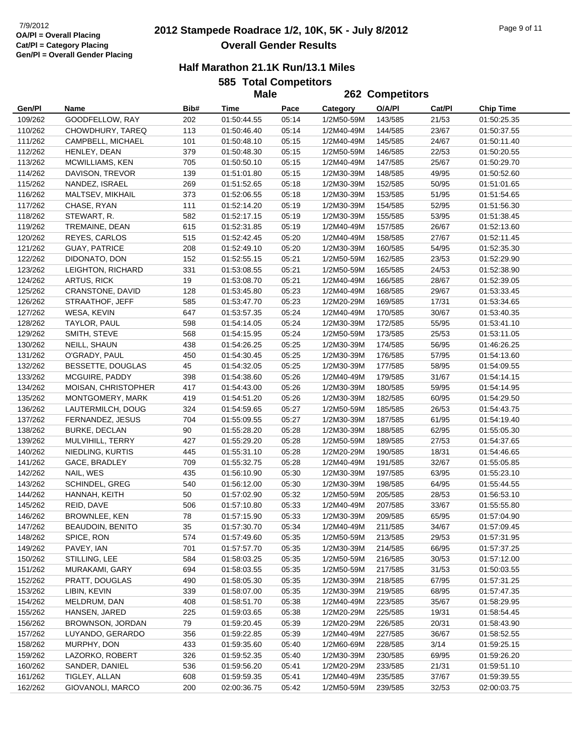# **2012 Stampede Roadrace 1/2, 10K, 5K - July 8/2012** 7/9/2012 Page 9 of 11 **Overall Gender Results**

| <b>585 Total Competitors</b> |  |
|------------------------------|--|
| Malo                         |  |

|                    |                                   |      | <b>Male</b>                |       |                          | 262 Competitors    |        |                  |
|--------------------|-----------------------------------|------|----------------------------|-------|--------------------------|--------------------|--------|------------------|
| Gen/Pl             | Name                              | Bib# | Time                       | Pace  | Category                 | O/A/PI             | Cat/Pl | <b>Chip Time</b> |
| 109/262            | GOODFELLOW, RAY                   | 202  | 01:50:44.55                | 05:14 | 1/2M50-59M               | 143/585            | 21/53  | 01:50:25.35      |
| 110/262            | CHOWDHURY, TAREQ                  | 113  | 01:50:46.40                | 05:14 | 1/2M40-49M               | 144/585            | 23/67  | 01:50:37.55      |
| 111/262            | CAMPBELL, MICHAEL                 | 101  | 01:50:48.10                | 05:15 | 1/2M40-49M               | 145/585            | 24/67  | 01:50:11.40      |
| 112/262            | HENLEY, DEAN                      | 379  | 01:50:48.30                | 05:15 | 1/2M50-59M               | 146/585            | 22/53  | 01:50:20.55      |
| 113/262            | MCWILLIAMS, KEN                   | 705  | 01:50:50.10                | 05:15 | 1/2M40-49M               | 147/585            | 25/67  | 01:50:29.70      |
| 114/262            | DAVISON, TREVOR                   | 139  | 01:51:01.80                | 05:15 | 1/2M30-39M               | 148/585            | 49/95  | 01:50:52.60      |
| 115/262            | NANDEZ, ISRAEL                    | 269  | 01:51:52.65                | 05:18 | 1/2M30-39M               | 152/585            | 50/95  | 01:51:01.65      |
| 116/262            | MALTSEV, MIKHAIL                  | 373  | 01:52:06.55                | 05:18 | 1/2M30-39M               | 153/585            | 51/95  | 01:51:54.65      |
| 117/262            | CHASE, RYAN                       | 111  | 01:52:14.20                | 05:19 | 1/2M30-39M               | 154/585            | 52/95  | 01:51:56.30      |
| 118/262            | STEWART, R.                       | 582  | 01:52:17.15                | 05:19 | 1/2M30-39M               | 155/585            | 53/95  | 01:51:38.45      |
| 119/262            | TREMAINE, DEAN                    | 615  | 01:52:31.85                | 05:19 | 1/2M40-49M               | 157/585            | 26/67  | 01:52:13.60      |
| 120/262            | REYES, CARLOS                     | 515  | 01:52:42.45                | 05:20 | 1/2M40-49M               | 158/585            | 27/67  | 01:52:11.45      |
| 121/262            | <b>GUAY, PATRICE</b>              | 208  | 01:52:49.10                | 05:20 | 1/2M30-39M               | 160/585            | 54/95  | 01:52:35.30      |
| 122/262            | DIDONATO, DON                     | 152  | 01:52:55.15                | 05:21 | 1/2M50-59M               | 162/585            | 23/53  | 01:52:29.90      |
| 123/262            | LEIGHTON, RICHARD                 | 331  | 01:53:08.55                | 05:21 | 1/2M50-59M               | 165/585            | 24/53  | 01:52:38.90      |
| 124/262            | ARTUS, RICK                       | 19   | 01:53:08.70                | 05:21 | 1/2M40-49M               | 166/585            | 28/67  | 01:52:39.05      |
| 125/262            | CRANSTONE, DAVID                  | 128  | 01:53:45.80                | 05:23 | 1/2M40-49M               | 168/585            | 29/67  | 01:53:33.45      |
| 126/262            | STRAATHOF, JEFF                   | 585  | 01:53:47.70                | 05:23 | 1/2M20-29M               | 169/585            | 17/31  | 01:53:34.65      |
| 127/262            | WESA, KEVIN                       | 647  | 01:53:57.35                | 05:24 | 1/2M40-49M               | 170/585            | 30/67  | 01:53:40.35      |
| 128/262            | TAYLOR, PAUL                      | 598  | 01:54:14.05                | 05:24 | 1/2M30-39M               | 172/585            | 55/95  | 01:53:41.10      |
| 129/262            | SMITH, STEVE                      | 568  | 01:54:15.95                | 05:24 | 1/2M50-59M               | 173/585            | 25/53  | 01:53:11.05      |
| 130/262            | NEILL, SHAUN                      | 438  | 01:54:26.25                | 05:25 | 1/2M30-39M               |                    | 56/95  | 01:46:26.25      |
| 131/262            | O'GRADY, PAUL                     | 450  | 01:54:30.45                | 05:25 | 1/2M30-39M               | 174/585<br>176/585 | 57/95  | 01:54:13.60      |
|                    |                                   |      |                            |       |                          |                    |        |                  |
| 132/262            | BESSETTE, DOUGLAS                 | 45   | 01:54:32.05                | 05:25 | 1/2M30-39M               | 177/585            | 58/95  | 01:54:09.55      |
| 133/262            | MCGUIRE, PADDY                    | 398  | 01:54:38.60                | 05:26 | 1/2M40-49M               | 179/585            | 31/67  | 01:54:14.15      |
| 134/262            | MOISAN, CHRISTOPHER               | 417  | 01:54:43.00                | 05:26 | 1/2M30-39M               | 180/585            | 59/95  | 01:54:14.95      |
| 135/262            | MONTGOMERY, MARK                  | 419  | 01:54:51.20                | 05:26 | 1/2M30-39M               | 182/585            | 60/95  | 01:54:29.50      |
| 136/262            | LAUTERMILCH, DOUG                 | 324  | 01:54:59.65                | 05:27 | 1/2M50-59M               | 185/585            | 26/53  | 01:54:43.75      |
| 137/262            | FERNANDEZ, JESUS                  | 704  | 01:55:09.55                | 05:27 | 1/2M30-39M               | 187/585            | 61/95  | 01:54:19.40      |
| 138/262            | <b>BURKE, DECLAN</b>              | 90   | 01:55:28.20                | 05:28 | 1/2M30-39M               | 188/585            | 62/95  | 01:55:05.30      |
| 139/262            | MULVIHILL, TERRY                  | 427  | 01:55:29.20                | 05:28 | 1/2M50-59M               | 189/585            | 27/53  | 01:54:37.65      |
| 140/262            | NIEDLING, KURTIS<br>GACE, BRADLEY | 445  | 01:55:31.10                | 05:28 | 1/2M20-29M               | 190/585            | 18/31  | 01:54:46.65      |
| 141/262<br>142/262 |                                   | 709  | 01:55:32.75                | 05:28 | 1/2M40-49M               | 191/585            | 32/67  | 01:55:05.85      |
|                    | NAIL, WES                         | 435  | 01:56:10.90<br>01:56:12.00 | 05:30 | 1/2M30-39M<br>1/2M30-39M | 197/585<br>198/585 | 63/95  | 01:55:23.10      |
| 143/262            | <b>SCHINDEL, GREG</b>             | 540  |                            | 05:30 |                          |                    | 64/95  | 01:55:44.55      |
| 144/262            | HANNAH, KEITH                     | 50   | 01:57:02.90                | 05:32 | 1/2M50-59M               | 205/585            | 28/53  | 01:56:53.10      |
| 145/262            | REID, DAVE                        | 506  | 01:57:10.80                | 05:33 | 1/2M40-49M               | 207/585            | 33/67  | 01:55:55.80      |
| 146/262<br>147/262 | BROWNLEE, KEN                     | 78   | 01:57:15.90                | 05:33 | 1/2M30-39M               | 209/585            | 65/95  | 01:57:04.90      |
|                    | <b>BEAUDOIN, BENITO</b>           | 35   | 01:57:30.70                | 05:34 | 1/2M40-49M               | 211/585            | 34/67  | 01:57:09.45      |
| 148/262            | SPICE, RON                        | 574  | 01:57:49.60                | 05:35 | 1/2M50-59M               | 213/585            | 29/53  | 01:57:31.95      |
| 149/262            | PAVEY, IAN                        | 701  | 01:57:57.70                | 05:35 | 1/2M30-39M               | 214/585            | 66/95  | 01:57:37.25      |
| 150/262            | STILLING, LEE                     | 584  | 01:58:03.25                | 05:35 | 1/2M50-59M               | 216/585            | 30/53  | 01:57:12.00      |
| 151/262            | MURAKAMI, GARY                    | 694  | 01:58:03.55                | 05:35 | 1/2M50-59M               | 217/585            | 31/53  | 01:50:03.55      |
| 152/262            | PRATT, DOUGLAS                    | 490  | 01:58:05.30                | 05:35 | 1/2M30-39M               | 218/585            | 67/95  | 01:57:31.25      |
| 153/262            | LIBIN, KEVIN                      | 339  | 01:58:07.00                | 05:35 | 1/2M30-39M               | 219/585            | 68/95  | 01:57:47.35      |
| 154/262            | MELDRUM, DAN                      | 408  | 01:58:51.70                | 05:38 | 1/2M40-49M               | 223/585            | 35/67  | 01:58:29.95      |
| 155/262            | HANSEN, JARED                     | 225  | 01:59:03.65                | 05:38 | 1/2M20-29M               | 225/585            | 19/31  | 01:58:54.45      |
| 156/262            | BROWNSON, JORDAN                  | 79   | 01:59:20.45                | 05:39 | 1/2M20-29M               | 226/585            | 20/31  | 01:58:43.90      |
| 157/262            | LUYANDO, GERARDO                  | 356  | 01:59:22.85                | 05:39 | 1/2M40-49M               | 227/585            | 36/67  | 01:58:52.55      |
| 158/262            | MURPHY, DON                       | 433  | 01:59:35.60                | 05:40 | 1/2M60-69M               | 228/585            | 3/14   | 01:59:25.15      |
| 159/262            | LAZORKO, ROBERT                   | 326  | 01:59:52.35                | 05:40 | 1/2M30-39M               | 230/585            | 69/95  | 01:59:26.20      |
| 160/262            | SANDER, DANIEL                    | 536  | 01:59:56.20                | 05:41 | 1/2M20-29M               | 233/585            | 21/31  | 01:59:51.10      |
| 161/262            | TIGLEY, ALLAN                     | 608  | 01:59:59.35                | 05:41 | 1/2M40-49M               | 235/585            | 37/67  | 01:59:39.55      |
| 162/262            | GIOVANOLI, MARCO                  | 200  | 02:00:36.75                | 05:42 | 1/2M50-59M               | 239/585            | 32/53  | 02:00:03.75      |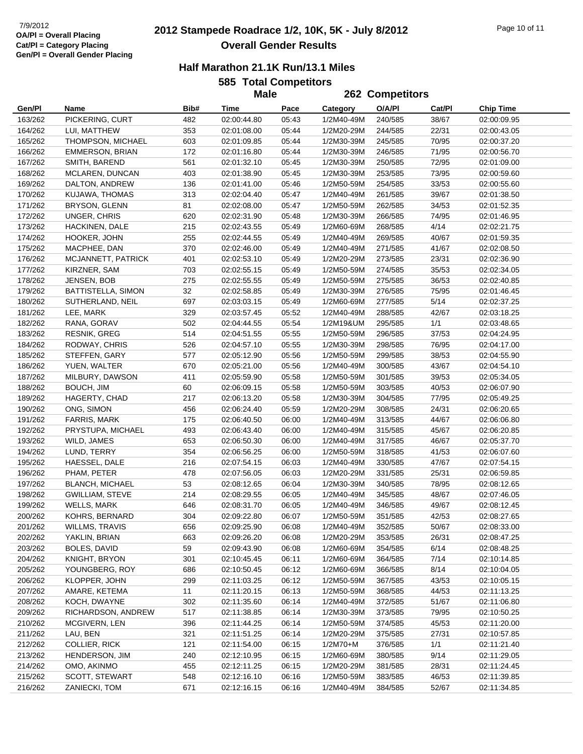# **2012 Stampede Roadrace 1/2, 10K, 5K - July 8/2012** 7/9/2012 Page 10 of 11 **Overall Gender Results**

#### **Half Marathon 21.1K Run/13.1 Miles**

**585 Total Competitors Male**

|                    |                                    |      | <b>Male</b>                |       | 262 Competitors |                    |        |                            |
|--------------------|------------------------------------|------|----------------------------|-------|-----------------|--------------------|--------|----------------------------|
| Gen/Pl             | Name                               | Bib# | Time                       | Pace  | Category        | O/A/PI             | Cat/Pl | <b>Chip Time</b>           |
| 163/262            | PICKERING, CURT                    | 482  | 02:00:44.80                | 05:43 | 1/2M40-49M      | 240/585            | 38/67  | 02:00:09.95                |
| 164/262            | LUI, MATTHEW                       | 353  | 02:01:08.00                | 05:44 | 1/2M20-29M      | 244/585            | 22/31  | 02:00:43.05                |
| 165/262            | THOMPSON, MICHAEL                  | 603  | 02:01:09.85                | 05:44 | 1/2M30-39M      | 245/585            | 70/95  | 02:00:37.20                |
| 166/262            | EMMERSON, BRIAN                    | 172  | 02:01:16.80                | 05:44 | 1/2M30-39M      | 246/585            | 71/95  | 02:00:56.70                |
| 167/262            | SMITH, BAREND                      | 561  | 02:01:32.10                | 05:45 | 1/2M30-39M      | 250/585            | 72/95  | 02:01:09.00                |
| 168/262            | MCLAREN, DUNCAN                    | 403  | 02:01:38.90                | 05:45 | 1/2M30-39M      | 253/585            | 73/95  | 02:00:59.60                |
| 169/262            | DALTON, ANDREW                     | 136  | 02:01:41.00                | 05:46 | 1/2M50-59M      | 254/585            | 33/53  | 02:00:55.60                |
| 170/262            | KUJAWA, THOMAS                     | 313  | 02:02:04.40                | 05:47 | 1/2M40-49M      | 261/585            | 39/67  | 02:01:38.50                |
| 171/262            | BRYSON, GLENN                      | 81   | 02:02:08.00                | 05:47 | 1/2M50-59M      | 262/585            | 34/53  | 02:01:52.35                |
| 172/262            | UNGER, CHRIS                       | 620  | 02:02:31.90                | 05:48 | 1/2M30-39M      | 266/585            | 74/95  | 02:01:46.95                |
| 173/262            | HACKINEN, DALE                     | 215  | 02:02:43.55                | 05:49 | 1/2M60-69M      | 268/585            | 4/14   | 02:02:21.75                |
| 174/262            | HOOKER, JOHN                       | 255  | 02:02:44.55                | 05:49 | 1/2M40-49M      | 269/585            | 40/67  | 02:01:59.35                |
| 175/262            | MACPHEE, DAN                       | 370  | 02:02:46.00                | 05:49 | 1/2M40-49M      | 271/585            | 41/67  | 02:02:08.50                |
| 176/262            | MCJANNETT, PATRICK                 | 401  | 02:02:53.10                | 05:49 | 1/2M20-29M      | 273/585            | 23/31  | 02:02:36.90                |
| 177/262            | KIRZNER, SAM                       | 703  | 02:02:55.15                | 05:49 | 1/2M50-59M      | 274/585            | 35/53  | 02:02:34.05                |
| 178/262            | JENSEN, BOB                        | 275  | 02:02:55.55                | 05:49 | 1/2M50-59M      | 275/585            | 36/53  | 02:02:40.85                |
| 179/262            | BATTISTELLA, SIMON                 | 32   | 02:02:58.85                | 05:49 | 1/2M30-39M      | 276/585            | 75/95  | 02:01:46.45                |
| 180/262            | SUTHERLAND, NEIL                   | 697  | 02:03:03.15                | 05:49 | 1/2M60-69M      | 277/585            | 5/14   | 02:02:37.25                |
|                    | LEE, MARK                          | 329  |                            | 05:52 | 1/2M40-49M      |                    | 42/67  |                            |
| 181/262<br>182/262 |                                    | 502  | 02:03:57.45<br>02:04:44.55 | 05:54 | 1/2M19&UM       | 288/585<br>295/585 | 1/1    | 02:03:18.25<br>02:03:48.65 |
| 183/262            | RANA, GORAV<br><b>RESNIK, GREG</b> | 514  |                            | 05:55 | 1/2M50-59M      | 296/585            | 37/53  |                            |
| 184/262            | RODWAY, CHRIS                      | 526  | 02:04:51.55<br>02:04:57.10 | 05:55 | 1/2M30-39M      |                    | 76/95  | 02:04:24.95<br>02:04:17.00 |
| 185/262            | STEFFEN, GARY                      | 577  | 02:05:12.90                | 05:56 | 1/2M50-59M      | 298/585<br>299/585 | 38/53  |                            |
|                    |                                    |      |                            |       |                 |                    |        | 02:04:55.90                |
| 186/262            | YUEN, WALTER                       | 670  | 02:05:21.00                | 05:56 | 1/2M40-49M      | 300/585            | 43/67  | 02:04:54.10                |
| 187/262            | MILBURY, DAWSON                    | 411  | 02:05:59.90                | 05:58 | 1/2M50-59M      | 301/585            | 39/53  | 02:05:34.05                |
| 188/262            | BOUCH, JIM                         | 60   | 02:06:09.15                | 05:58 | 1/2M50-59M      | 303/585            | 40/53  | 02:06:07.90                |
| 189/262            | HAGERTY, CHAD                      | 217  | 02:06:13.20                | 05:58 | 1/2M30-39M      | 304/585            | 77/95  | 02:05:49.25                |
| 190/262            | ONG, SIMON                         | 456  | 02:06:24.40                | 05:59 | 1/2M20-29M      | 308/585            | 24/31  | 02:06:20.65                |
| 191/262            | FARRIS, MARK                       | 175  | 02:06:40.50                | 06:00 | 1/2M40-49M      | 313/585            | 44/67  | 02:06:06.80                |
| 192/262            | PRYSTUPA, MICHAEL                  | 493  | 02:06:43.40                | 06:00 | 1/2M40-49M      | 315/585            | 45/67  | 02:06:20.85                |
| 193/262            | WILD, JAMES                        | 653  | 02:06:50.30                | 06:00 | 1/2M40-49M      | 317/585            | 46/67  | 02:05:37.70                |
| 194/262            | LUND, TERRY                        | 354  | 02:06:56.25                | 06:00 | 1/2M50-59M      | 318/585            | 41/53  | 02:06:07.60                |
| 195/262            | HAESSEL, DALE                      | 216  | 02:07:54.15                | 06:03 | 1/2M40-49M      | 330/585            | 47/67  | 02:07:54.15                |
| 196/262            | PHAM, PETER                        | 478  | 02:07:56.05                | 06:03 | 1/2M20-29M      | 331/585            | 25/31  | 02:06:59.85                |
| 197/262            | <b>BLANCH, MICHAEL</b>             | 53   | 02:08:12.65                | 06:04 | 1/2M30-39M      | 340/585            | 78/95  | 02:08:12.65                |
| 198/262            | GWILLIAM, STEVE                    | 214  | 02:08:29.55                | 06:05 | 1/2M40-49M      | 345/585            | 48/67  | 02:07:46.05                |
| 199/262            | <b>WELLS, MARK</b>                 | 646  | 02:08:31.70                | 06:05 | 1/2M40-49M      | 346/585            | 49/67  | 02:08:12.45                |
| 200/262            | KOHRS, BERNARD                     | 304  | 02:09:22.80                | 06:07 | 1/2M50-59M      | 351/585            | 42/53  | 02:08:27.65                |
| 201/262            | <b>WILLMS, TRAVIS</b>              | 656  | 02:09:25.90                | 06:08 | 1/2M40-49M      | 352/585            | 50/67  | 02:08:33.00                |
| 202/262            | YAKLIN, BRIAN                      | 663  | 02:09:26.20                | 06:08 | 1/2M20-29M      | 353/585            | 26/31  | 02:08:47.25                |
| 203/262            | BOLES, DAVID                       | 59   | 02:09:43.90                | 06:08 | 1/2M60-69M      | 354/585            | 6/14   | 02:08:48.25                |
| 204/262            | KNIGHT, BRYON                      | 301  | 02:10:45.45                | 06:11 | 1/2M60-69M      | 364/585            | 7/14   | 02:10:14.85                |
| 205/262            | YOUNGBERG, ROY                     | 686  | 02:10:50.45                | 06:12 | 1/2M60-69M      | 366/585            | 8/14   | 02:10:04.05                |
| 206/262            | KLOPPER, JOHN                      | 299  | 02:11:03.25                | 06:12 | 1/2M50-59M      | 367/585            | 43/53  | 02:10:05.15                |
| 207/262            | AMARE, KETEMA                      | 11   | 02:11:20.15                | 06:13 | 1/2M50-59M      | 368/585            | 44/53  | 02:11:13.25                |
| 208/262            | KOCH, DWAYNE                       | 302  | 02:11:35.60                | 06:14 | 1/2M40-49M      | 372/585            | 51/67  | 02:11:06.80                |
| 209/262            | RICHARDSON, ANDREW                 | 517  | 02:11:38.85                | 06:14 | 1/2M30-39M      | 373/585            | 79/95  | 02:10:50.25                |
| 210/262            | MCGIVERN, LEN                      | 396  | 02:11:44.25                | 06:14 | 1/2M50-59M      | 374/585            | 45/53  | 02:11:20.00                |
| 211/262            | LAU, BEN                           | 321  | 02:11:51.25                | 06:14 | 1/2M20-29M      | 375/585            | 27/31  | 02:10:57.85                |
| 212/262            | <b>COLLIER, RICK</b>               | 121  | 02:11:54.00                | 06:15 | 1/2M70+M        | 376/585            | 1/1    | 02:11:21.40                |
| 213/262            | HENDERSON, JIM                     | 240  | 02:12:10.95                | 06:15 | 1/2M60-69M      | 380/585            | 9/14   | 02:11:29.05                |
| 214/262            | OMO, AKINMO                        | 455  | 02:12:11.25                | 06:15 | 1/2M20-29M      | 381/585            | 28/31  | 02:11:24.45                |
| 215/262            | SCOTT, STEWART                     | 548  | 02:12:16.10                | 06:16 | 1/2M50-59M      | 383/585            | 46/53  | 02:11:39.85                |
| 216/262            | ZANIECKI, TOM                      | 671  | 02:12:16.15                | 06:16 | 1/2M40-49M      | 384/585            | 52/67  | 02:11:34.85                |